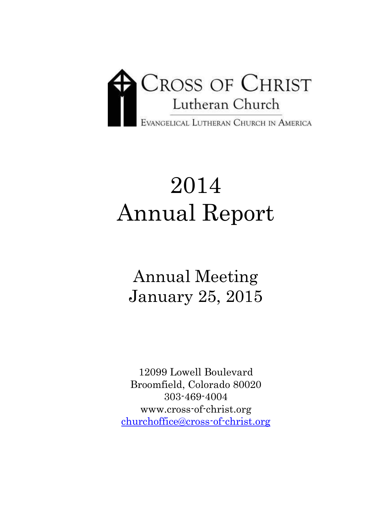

# 2014 Annual Report

Annual Meeting January 25, 2015

12099 Lowell Boulevard Broomfield, Colorado 80020 303-469-4004 www.cross-of-christ.org [churchoffice@cross-of-christ.org](mailto:churchoffice@cross-of-christ.org)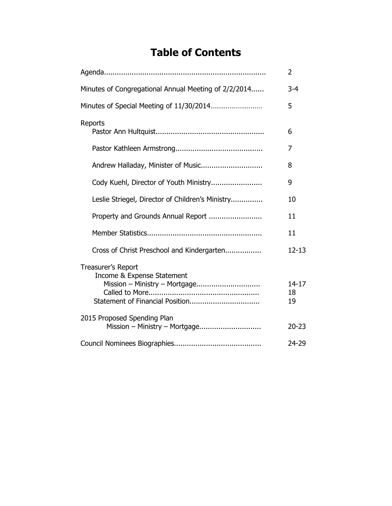# **Table of Contents**

|                                                                                   | $\overline{2}$        |
|-----------------------------------------------------------------------------------|-----------------------|
| Minutes of Congregational Annual Meeting of 2/2/2014                              | $3 - 4$               |
| Minutes of Special Meeting of 11/30/2014                                          | 5                     |
| Reports                                                                           | 6                     |
|                                                                                   | 7                     |
|                                                                                   | 8                     |
| Cody Kuehl, Director of Youth Ministry                                            | 9                     |
| Leslie Striegel, Director of Children's Ministry                                  | 10                    |
| Property and Grounds Annual Report                                                | 11                    |
|                                                                                   | 11                    |
| Cross of Christ Preschool and Kindergarten                                        | $12 - 13$             |
| Treasurer's Report<br>Income & Expense Statement<br>Mission - Ministry - Mortgage | $14 - 17$<br>18<br>19 |
| 2015 Proposed Spending Plan<br>Mission - Ministry - Mortgage                      | $20 - 23$             |
|                                                                                   | 24-29                 |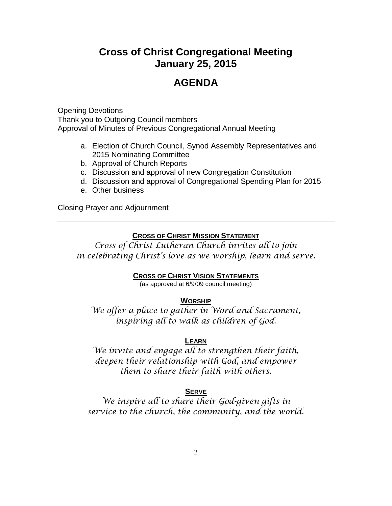# **Cross of Christ Congregational Meeting January 25, 2015**

# **AGENDA**

Opening Devotions Thank you to Outgoing Council members Approval of Minutes of Previous Congregational Annual Meeting

- a. Election of Church Council, Synod Assembly Representatives and 2015 Nominating Committee
- b. Approval of Church Reports
- c. Discussion and approval of new Congregation Constitution
- d. Discussion and approval of Congregational Spending Plan for 2015
- e. Other business

Closing Prayer and Adjournment

#### **CROSS OF CHRIST MISSION STATEMENT**

*Cross of Christ Lutheran Church invites all to join in celebrating Christ's love as we worship, learn and serve.*

#### **CROSS OF CHRIST VISION STATEMENTS**

(as approved at 6/9/09 council meeting)

#### **WORSHIP**

*We offer a place to gather in Word and Sacrament, inspiring all to walk as children of God.*

#### **LEARN**

*We invite and engage all to strengthen their faith, deepen their relationship with God, and empower them to share their faith with others.*

#### **SERVE**

*We inspire all to share their God-given gifts in service to the church, the community, and the world.*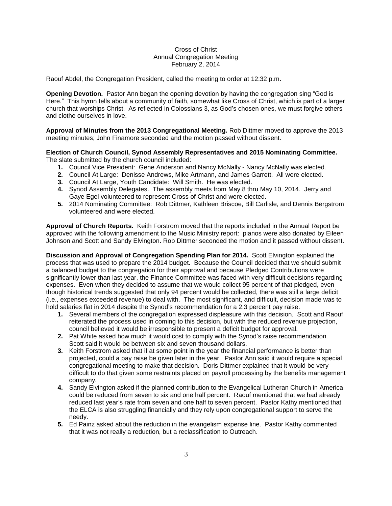#### Cross of Christ Annual Congregation Meeting February 2, 2014

Raouf Abdel, the Congregation President, called the meeting to order at 12:32 p.m.

**Opening Devotion.** Pastor Ann began the opening devotion by having the congregation sing "God is Here." This hymn tells about a community of faith, somewhat like Cross of Christ, which is part of a larger church that worships Christ. As reflected in Colossians 3, as God's chosen ones, we must forgive others and clothe ourselves in love.

**Approval of Minutes from the 2013 Congregational Meeting.** Rob Dittmer moved to approve the 2013 meeting minutes; John Finamore seconded and the motion passed without dissent.

#### **Election of Church Council, Synod Assembly Representatives and 2015 Nominating Committee.** The slate submitted by the church council included:

- **1.** Council Vice President: Gene Anderson and Nancy McNally Nancy McNally was elected.
- **2.** Council At Large: Denisse Andrews, Mike Artmann, and James Garrett. All were elected.
- **3.** Council At Large, Youth Candidate: Will Smith. He was elected.
- **4.** Synod Assembly Delegates. The assembly meets from May 8 thru May 10, 2014. Jerry and Gaye Egel volunteered to represent Cross of Christ and were elected.
- **5.** 2014 Nominating Committee: Rob Dittmer, Kathleen Briscoe, Bill Carlisle, and Dennis Bergstrom volunteered and were elected.

**Approval of Church Reports.** Keith Forstrom moved that the reports included in the Annual Report be approved with the following amendment to the Music Ministry report: pianos were also donated by Eileen Johnson and Scott and Sandy Elvington. Rob Dittmer seconded the motion and it passed without dissent.

**Discussion and Approval of Congregation Spending Plan for 2014.** Scott Elvington explained the process that was used to prepare the 2014 budget. Because the Council decided that we should submit a balanced budget to the congregation for their approval and because Pledged Contributions were significantly lower than last year, the Finance Committee was faced with very difficult decisions regarding expenses. Even when they decided to assume that we would collect 95 percent of that pledged, even though historical trends suggested that only 94 percent would be collected, there was still a large deficit (i.e., expenses exceeded revenue) to deal with. The most significant, and difficult, decision made was to hold salaries flat in 2014 despite the Synod's recommendation for a 2.3 percent pay raise.

- **1.** Several members of the congregation expressed displeasure with this decision. Scott and Raouf reiterated the process used in coming to this decision, but with the reduced revenue projection, council believed it would be irresponsible to present a deficit budget for approval.
- **2.** Pat White asked how much it would cost to comply with the Synod's raise recommendation. Scott said it would be between six and seven thousand dollars.
- **3.** Keith Forstrom asked that if at some point in the year the financial performance is better than projected, could a pay raise be given later in the year. Pastor Ann said it would require a special congregational meeting to make that decision. Doris Dittmer explained that it would be very difficult to do that given some restraints placed on payroll processing by the benefits management company.
- **4.** Sandy Elvington asked if the planned contribution to the Evangelical Lutheran Church in America could be reduced from seven to six and one half percent. Raouf mentioned that we had already reduced last year's rate from seven and one half to seven percent. Pastor Kathy mentioned that the ELCA is also struggling financially and they rely upon congregational support to serve the needy.
- **5.** Ed Painz asked about the reduction in the evangelism expense line. Pastor Kathy commented that it was not really a reduction, but a reclassification to Outreach.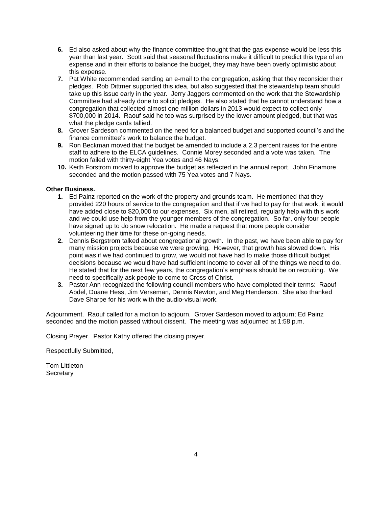- **6.** Ed also asked about why the finance committee thought that the gas expense would be less this year than last year. Scott said that seasonal fluctuations make it difficult to predict this type of an expense and in their efforts to balance the budget, they may have been overly optimistic about this expense.
- **7.** Pat White recommended sending an e-mail to the congregation, asking that they reconsider their pledges. Rob Dittmer supported this idea, but also suggested that the stewardship team should take up this issue early in the year. Jerry Jaggers commented on the work that the Stewardship Committee had already done to solicit pledges. He also stated that he cannot understand how a congregation that collected almost one million dollars in 2013 would expect to collect only \$700,000 in 2014. Raouf said he too was surprised by the lower amount pledged, but that was what the pledge cards tallied.
- **8.** Grover Sardeson commented on the need for a balanced budget and supported council's and the finance committee's work to balance the budget.
- **9.** Ron Beckman moved that the budget be amended to include a 2.3 percent raises for the entire staff to adhere to the ELCA guidelines. Connie Morey seconded and a vote was taken. The motion failed with thirty-eight Yea votes and 46 Nays.
- **10.** Keith Forstrom moved to approve the budget as reflected in the annual report. John Finamore seconded and the motion passed with 75 Yea votes and 7 Nays.

#### **Other Business.**

- **1.** Ed Painz reported on the work of the property and grounds team. He mentioned that they provided 220 hours of service to the congregation and that if we had to pay for that work, it would have added close to \$20,000 to our expenses. Six men, all retired, regularly help with this work and we could use help from the younger members of the congregation. So far, only four people have signed up to do snow relocation. He made a request that more people consider volunteering their time for these on-going needs.
- **2.** Dennis Bergstrom talked about congregational growth. In the past, we have been able to pay for many mission projects because we were growing. However, that growth has slowed down. His point was if we had continued to grow, we would not have had to make those difficult budget decisions because we would have had sufficient income to cover all of the things we need to do. He stated that for the next few years, the congregation's emphasis should be on recruiting. We need to specifically ask people to come to Cross of Christ.
- **3.** Pastor Ann recognized the following council members who have completed their terms: Raouf Abdel, Duane Hess, Jim Verseman, Dennis Newton, and Meg Henderson. She also thanked Dave Sharpe for his work with the audio-visual work.

Adjournment. Raouf called for a motion to adjourn. Grover Sardeson moved to adjourn; Ed Painz seconded and the motion passed without dissent. The meeting was adjourned at 1:58 p.m.

Closing Prayer. Pastor Kathy offered the closing prayer.

Respectfully Submitted,

Tom Littleton **Secretary**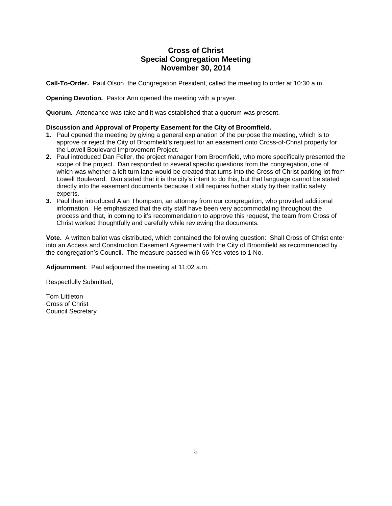#### **Cross of Christ Special Congregation Meeting November 30, 2014**

**Call-To-Order.** Paul Olson, the Congregation President, called the meeting to order at 10:30 a.m.

**Opening Devotion.** Pastor Ann opened the meeting with a prayer.

**Quorum.** Attendance was take and it was established that a quorum was present.

#### **Discussion and Approval of Property Easement for the City of Broomfield.**

- **1.** Paul opened the meeting by giving a general explanation of the purpose the meeting, which is to approve or reject the City of Broomfield's request for an easement onto Cross-of-Christ property for the Lowell Boulevard Improvement Project.
- **2.** Paul introduced Dan Feller, the project manager from Broomfield, who more specifically presented the scope of the project. Dan responded to several specific questions from the congregation, one of which was whether a left turn lane would be created that turns into the Cross of Christ parking lot from Lowell Boulevard. Dan stated that it is the city's intent to do this, but that language cannot be stated directly into the easement documents because it still requires further study by their traffic safety experts.
- **3.** Paul then introduced Alan Thompson, an attorney from our congregation, who provided additional information. He emphasized that the city staff have been very accommodating throughout the process and that, in coming to it's recommendation to approve this request, the team from Cross of Christ worked thoughtfully and carefully while reviewing the documents.

**Vote.** A written ballot was distributed, which contained the following question: Shall Cross of Christ enter into an Access and Construction Easement Agreement with the City of Broomfield as recommended by the congregation's Council. The measure passed with 66 Yes votes to 1 No.

**Adjournment**. Paul adjourned the meeting at 11:02 a.m.

Respectfully Submitted,

Tom Littleton Cross of Christ Council Secretary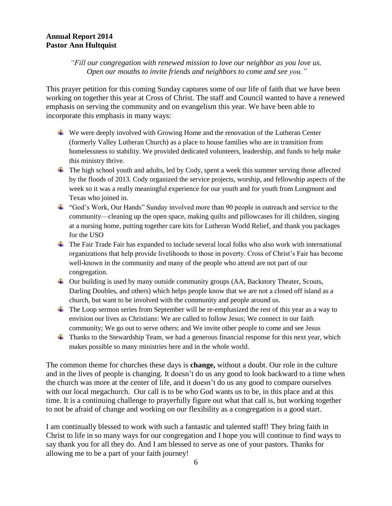#### **Annual Report 2014 Pastor Ann Hultquist**

#### *"Fill our congregation with renewed mission to love our neighbor as you love us. Open our mouths to invite friends and neighbors to come and see you."*

This prayer petition for this coming Sunday captures some of our life of faith that we have been working on together this year at Cross of Christ. The staff and Council wanted to have a renewed emphasis on serving the community and on evangelism this year. We have been able to incorporate this emphasis in many ways:

- We were deeply involved with Growing Home and the renovation of the Lutheran Center (formerly Valley Lutheran Church) as a place to house families who are in transition from homelessness to stability. We provided dedicated volunteers, leadership, and funds to help make this ministry thrive.
- The high school youth and adults, led by Cody, spent a week this summer serving those affected by the floods of 2013. Cody organized the service projects, worship, and fellowship aspects of the week so it was a really meaningful experience for our youth and for youth from Longmont and Texas who joined in.
- "God's Work, Our Hands" Sunday involved more than 90 people in outreach and service to the community—cleaning up the open space, making quilts and pillowcases for ill children, singing at a nursing home, putting together care kits for Lutheran World Relief, and thank you packages for the USO
- $\blacksquare$  The Fair Trade Fair has expanded to include several local folks who also work with international organizations that help provide livelihoods to those in poverty. Cross of Christ's Fair has become well-known in the community and many of the people who attend are not part of our congregation.
- Our building is used by many outside community groups (AA, Backstory Theater, Scouts, Darling Doubles, and others) which helps people know that we are not a closed off island as a church, but want to be involved with the community and people around us.
- The Loop sermon series from September will be re-emphasized the rest of this year as a way to envision our lives as Christians: We are called to follow Jesus; We connect in our faith community; We go out to serve others; and We invite other people to come and see Jesus
- $\blacktriangle$  Thanks to the Stewardship Team, we had a generous financial response for this next year, which makes possible so many ministries here and in the whole world.

The common theme for churches these days is **change,** without a doubt. Our role in the culture and in the lives of people is changing. It doesn't do us any good to look backward to a time when the church was more at the center of life, and it doesn't do us any good to compare ourselves with our local megachurch. Our call is to be who God wants us to be, in this place and at this time. It is a continuing challenge to prayerfully figure out what that call is, but working together to not be afraid of change and working on our flexibility as a congregation is a good start.

I am continually blessed to work with such a fantastic and talented staff! They bring faith in Christ to life in so many ways for our congregation and I hope you will continue to find ways to say thank you for all they do. And I am blessed to serve as one of your pastors. Thanks for allowing me to be a part of your faith journey!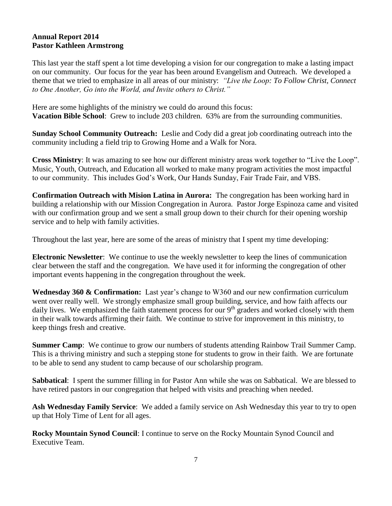#### **Annual Report 2014 Pastor Kathleen Armstrong**

This last year the staff spent a lot time developing a vision for our congregation to make a lasting impact on our community. Our focus for the year has been around Evangelism and Outreach. We developed a theme that we tried to emphasize in all areas of our ministry: *"Live the Loop: To Follow Christ, Connect to One Another, Go into the World, and Invite others to Christ."* 

Here are some highlights of the ministry we could do around this focus: **Vacation Bible School**: Grew to include 203 children. 63% are from the surrounding communities.

**Sunday School Community Outreach:** Leslie and Cody did a great job coordinating outreach into the community including a field trip to Growing Home and a Walk for Nora.

**Cross Ministry**: It was amazing to see how our different ministry areas work together to "Live the Loop". Music, Youth, Outreach, and Education all worked to make many program activities the most impactful to our community. This includes God's Work, Our Hands Sunday, Fair Trade Fair, and VBS.

**Confirmation Outreach with Mision Latina in Aurora:** The congregation has been working hard in building a relationship with our Mission Congregation in Aurora. Pastor Jorge Espinoza came and visited with our confirmation group and we sent a small group down to their church for their opening worship service and to help with family activities.

Throughout the last year, here are some of the areas of ministry that I spent my time developing:

**Electronic Newsletter**: We continue to use the weekly newsletter to keep the lines of communication clear between the staff and the congregation. We have used it for informing the congregation of other important events happening in the congregation throughout the week.

**Wednesday 360 & Confirmation:** Last year's change to W360 and our new confirmation curriculum went over really well. We strongly emphasize small group building, service, and how faith affects our daily lives. We emphasized the faith statement process for our 9<sup>th</sup> graders and worked closely with them in their walk towards affirming their faith. We continue to strive for improvement in this ministry, to keep things fresh and creative.

**Summer Camp**: We continue to grow our numbers of students attending Rainbow Trail Summer Camp. This is a thriving ministry and such a stepping stone for students to grow in their faith. We are fortunate to be able to send any student to camp because of our scholarship program.

**Sabbatical**: I spent the summer filling in for Pastor Ann while she was on Sabbatical. We are blessed to have retired pastors in our congregation that helped with visits and preaching when needed.

**Ash Wednesday Family Service**:We added a family service on Ash Wednesday this year to try to open up that Holy Time of Lent for all ages.

**Rocky Mountain Synod Council**: I continue to serve on the Rocky Mountain Synod Council and Executive Team.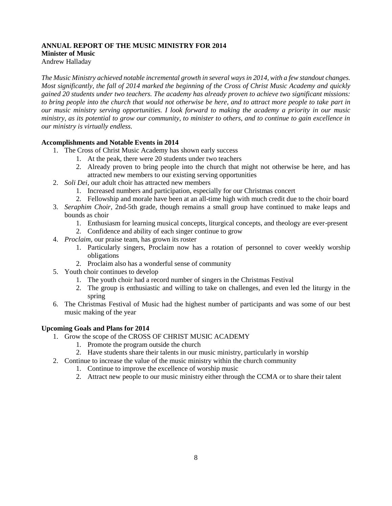#### **ANNUAL REPORT OF THE MUSIC MINISTRY FOR 2014 Minister of Music** Andrew Halladay

*The Music Ministry achieved notable incremental growth in several ways in 2014, with a few standout changes. Most significantly, the fall of 2014 marked the beginning of the Cross of Christ Music Academy and quickly gained 20 students under two teachers. The academy has already proven to achieve two significant missions: to bring people into the church that would not otherwise be here, and to attract more people to take part in our music ministry serving opportunities. I look forward to making the academy a priority in our music ministry, as its potential to grow our community, to minister to others, and to continue to gain excellence in our ministry is virtually endless.*

#### **Accomplishments and Notable Events in 2014**

- 1. The Cross of Christ Music Academy has shown early success
	- 1. At the peak, there were 20 students under two teachers
	- 2. Already proven to bring people into the church that might not otherwise be here, and has attracted new members to our existing serving opportunities
- 2. *Soli Dei*, our adult choir has attracted new members
	- 1. Increased numbers and participation, especially for our Christmas concert
	- 2. Fellowship and morale have been at an all-time high with much credit due to the choir board
- 3. *Seraphim Choir,* 2nd-5th grade, though remains a small group have continued to make leaps and bounds as choir
	- 1. Enthusiasm for learning musical concepts, liturgical concepts, and theology are ever-present
	- 2. Confidence and ability of each singer continue to grow
- 4. *Proclaim*, our praise team, has grown its roster
	- 1. Particularly singers, Proclaim now has a rotation of personnel to cover weekly worship obligations
	- 2. Proclaim also has a wonderful sense of community
- 5. Youth choir continues to develop
	- 1. The youth choir had a record number of singers in the Christmas Festival
	- 2. The group is enthusiastic and willing to take on challenges, and even led the liturgy in the spring
- 6. The Christmas Festival of Music had the highest number of participants and was some of our best music making of the year

#### **Upcoming Goals and Plans for 2014**

- 1. Grow the scope of the CROSS OF CHRIST MUSIC ACADEMY
	- 1. Promote the program outside the church
	- 2. Have students share their talents in our music ministry, particularly in worship
- 2. Continue to increase the value of the music ministry within the church community
	- 1. Continue to improve the excellence of worship music
	- 2. Attract new people to our music ministry either through the CCMA or to share their talent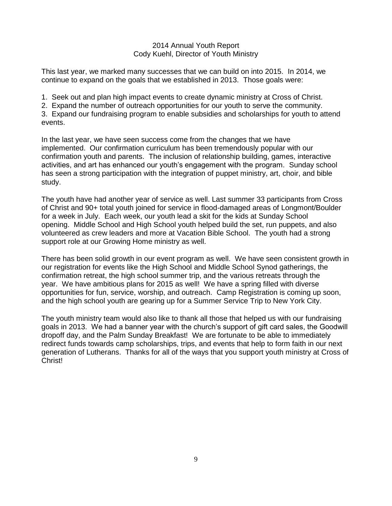#### 2014 Annual Youth Report Cody Kuehl, Director of Youth Ministry

This last year, we marked many successes that we can build on into 2015. In 2014, we continue to expand on the goals that we established in 2013. Those goals were:

1. Seek out and plan high impact events to create dynamic ministry at Cross of Christ.

2. Expand the number of outreach opportunities for our youth to serve the community.

3. Expand our fundraising program to enable subsidies and scholarships for youth to attend events.

In the last year, we have seen success come from the changes that we have implemented. Our confirmation curriculum has been tremendously popular with our confirmation youth and parents. The inclusion of relationship building, games, interactive activities, and art has enhanced our youth's engagement with the program. Sunday school has seen a strong participation with the integration of puppet ministry, art, choir, and bible study.

The youth have had another year of service as well. Last summer 33 participants from Cross of Christ and 90+ total youth joined for service in flood-damaged areas of Longmont/Boulder for a week in July. Each week, our youth lead a skit for the kids at Sunday School opening. Middle School and High School youth helped build the set, run puppets, and also volunteered as crew leaders and more at Vacation Bible School. The youth had a strong support role at our Growing Home ministry as well.

There has been solid growth in our event program as well. We have seen consistent growth in our registration for events like the High School and Middle School Synod gatherings, the confirmation retreat, the high school summer trip, and the various retreats through the year. We have ambitious plans for 2015 as well! We have a spring filled with diverse opportunities for fun, service, worship, and outreach. Camp Registration is coming up soon, and the high school youth are gearing up for a Summer Service Trip to New York City.

The youth ministry team would also like to thank all those that helped us with our fundraising goals in 2013. We had a banner year with the church's support of gift card sales, the Goodwill dropoff day, and the Palm Sunday Breakfast! We are fortunate to be able to immediately redirect funds towards camp scholarships, trips, and events that help to form faith in our next generation of Lutherans. Thanks for all of the ways that you support youth ministry at Cross of Christ!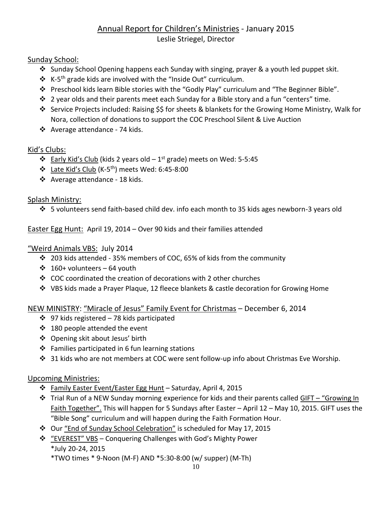# Annual Report for Children's Ministries - January 2015 Leslie Striegel, Director

# Sunday School:

- $\cdot$  Sunday School Opening happens each Sunday with singing, prayer & a youth led puppet skit.
- $\mathbf{\hat{*}}$  K-5<sup>th</sup> grade kids are involved with the "Inside Out" curriculum.
- Preschool kids learn Bible stories with the "Godly Play" curriculum and "The Beginner Bible".
- $\cdot \cdot$  2 year olds and their parents meet each Sunday for a Bible story and a fun "centers" time.
- Service Projects included: Raising \$\$ for sheets & blankets for the Growing Home Ministry, Walk for Nora, collection of donations to support the COC Preschool Silent & Live Auction
- Average attendance 74 kids.

# Kid's Clubs:

- $\div$  Early Kid's Club (kids 2 years old 1<sup>st</sup> grade) meets on Wed: 5-5:45
- $\cdot$  Late Kid's Club (K-5<sup>th</sup>) meets Wed: 6:45-8:00
- ❖ Average attendance 18 kids.

# Splash Ministry:

5 volunteers send faith-based child dev. info each month to 35 kids ages newborn-3 years old

Easter Egg Hunt: April 19, 2014 – Over 90 kids and their families attended

# "Weird Animals VBS: July 2014

- $\cdot$  203 kids attended 35% members of COC, 65% of kids from the community
- $\div$  160+ volunteers 64 youth
- COC coordinated the creation of decorations with 2 other churches
- VBS kids made a Prayer Plaque, 12 fleece blankets & castle decoration for Growing Home

# NEW MINISTRY: "Miracle of Jesus" Family Event for Christmas – December 6, 2014

- $\div$  97 kids registered 78 kids participated
- ❖ 180 people attended the event
- Opening skit about Jesus' birth
- $\div$  Families participated in 6 fun learning stations
- 31 kids who are not members at COC were sent follow-up info about Christmas Eve Worship.

# Upcoming Ministries:

- Family Easter Event/Easter Egg Hunt Saturday, April 4, 2015
- $\cdot \cdot$  Trial Run of a NEW Sunday morning experience for kids and their parents called GIFT "Growing In Faith Together". This will happen for 5 Sundays after Easter – April 12 – May 10, 2015. GIFT uses the "Bible Song" curriculum and will happen during the Faith Formation Hour.
- Our "End of Sunday School Celebration" is scheduled for May 17, 2015
- "EVEREST" VBS Conquering Challenges with God's Mighty Power \*July 20-24, 2015

\*TWO times \* 9-Noon (M-F) AND \*5:30-8:00 (w/ supper) (M-Th)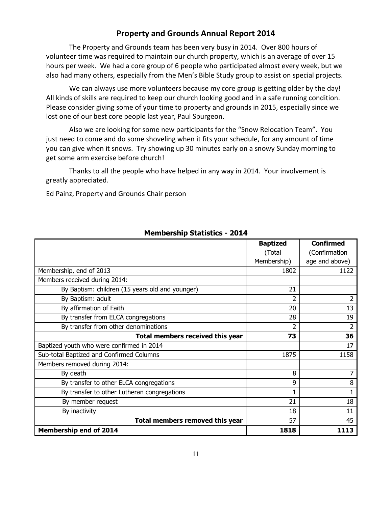## **Property and Grounds Annual Report 2014**

The Property and Grounds team has been very busy in 2014. Over 800 hours of volunteer time was required to maintain our church property, which is an average of over 15 hours per week. We had a core group of 6 people who participated almost every week, but we also had many others, especially from the Men's Bible Study group to assist on special projects.

We can always use more volunteers because my core group is getting older by the day! All kinds of skills are required to keep our church looking good and in a safe running condition. Please consider giving some of your time to property and grounds in 2015, especially since we lost one of our best core people last year, Paul Spurgeon.

Also we are looking for some new participants for the "Snow Relocation Team". You just need to come and do some shoveling when it fits your schedule, for any amount of time you can give when it snows. Try showing up 30 minutes early on a snowy Sunday morning to get some arm exercise before church!

Thanks to all the people who have helped in any way in 2014. Your involvement is greatly appreciated.

Ed Painz, Property and Grounds Chair person

|                                                 | <b>Baptized</b>          | <b>Confirmed</b> |
|-------------------------------------------------|--------------------------|------------------|
|                                                 | (Total                   | (Confirmation    |
|                                                 | Membership)              | age and above)   |
| Membership, end of 2013                         | 1802                     | 1122             |
| Members received during 2014:                   |                          |                  |
| By Baptism: children (15 years old and younger) | 21                       |                  |
| By Baptism: adult                               | 2                        | 2                |
| By affirmation of Faith                         | 20                       | 13               |
| By transfer from ELCA congregations             | 28                       | 19               |
| By transfer from other denominations            | $\overline{\phantom{a}}$ | 2                |
| Total members received this year                | 73                       | 36               |
| Baptized youth who were confirmed in 2014       |                          | 17               |
| Sub-total Baptized and Confirmed Columns        | 1875                     | 1158             |
| Members removed during 2014:                    |                          |                  |
| By death                                        | 8                        |                  |
| By transfer to other ELCA congregations         | 9                        | 8                |
| By transfer to other Lutheran congregations     | 1                        |                  |
| By member request                               | 21                       | 18               |
| By inactivity                                   | 18                       | 11               |
| Total members removed this year                 | 57                       | 45               |
| <b>Membership end of 2014</b>                   | 1818                     | 1113             |

## **Membership Statistics - 2014**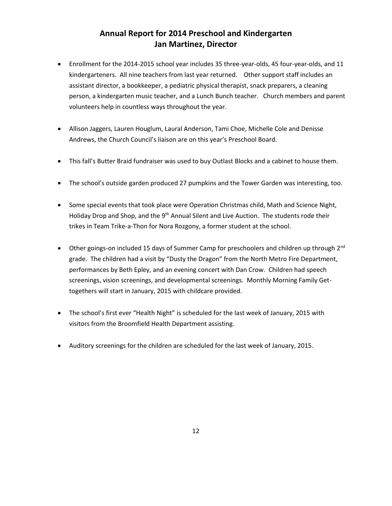# **Annual Report for 2014 Preschool and Kindergarten Jan Martinez, Director**

- Enrollment for the 2014-2015 school year includes 35 three-year-olds, 45 four-year-olds, and 11 kindergarteners. All nine teachers from last year returned. Other support staff includes an assistant director, a bookkeeper, a pediatric physical therapist, snack preparers, a cleaning person, a kindergarten music teacher, and a Lunch Bunch teacher. Church members and parent volunteers help in countless ways throughout the year.
- Allison Jaggers, Lauren Houglum, Laural Anderson, Tami Choe, Michelle Cole and Denisse Andrews, the Church Council's liaison are on this year's Preschool Board.
- This fall's Butter Braid fundraiser was used to buy Outlast Blocks and a cabinet to house them.
- The school's outside garden produced 27 pumpkins and the Tower Garden was interesting, too.
- Some special events that took place were Operation Christmas child, Math and Science Night, Holiday Drop and Shop, and the 9<sup>th</sup> Annual Silent and Live Auction. The students rode their trikes in Team Trike-a-Thon for Nora Rozgony, a former student at the school.
- Other goings-on included 15 days of Summer Camp for preschoolers and children up through  $2^{nd}$ grade. The children had a visit by "Dusty the Dragon" from the North Metro Fire Department, performances by Beth Epley, and an evening concert with Dan Crow. Children had speech screenings, vision screenings, and developmental screenings. Monthly Morning Family Gettogethers will start in January, 2015 with childcare provided.
- The school's first ever "Health Night" is scheduled for the last week of January, 2015 with visitors from the Broomfield Health Department assisting.
- Auditory screenings for the children are scheduled for the last week of January, 2015.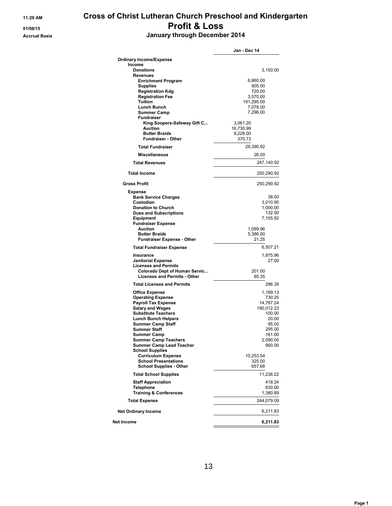# **11:29 AM Cross of Christ Lutheran Church Preschool and Kindergarten 01/08/15 Profit & Loss Accrual Basis January through December 2014**

|                                                                             | Jan - Dec 14         |
|-----------------------------------------------------------------------------|----------------------|
| <b>Ordinary Income/Expense</b>                                              |                      |
| Income                                                                      |                      |
| <b>Donations</b><br>Revenues                                                | 3,150.00             |
| <b>Enrichment Program</b>                                                   | 6,860.00             |
| <b>Supplies</b>                                                             | 905.00               |
| <b>Registration Kdg</b>                                                     | 720.00               |
| <b>Registration Fee</b>                                                     | 3,570.00             |
| Tuition<br>Lunch Bunch                                                      | 191,295.00           |
| <b>Summer Camp</b>                                                          | 7,078.00<br>7,296.00 |
| <b>Fundraiser</b>                                                           |                      |
| King Soopers-Safeway Gift C                                                 | 3,061.20             |
| Auction                                                                     | 16,730.99            |
| <b>Butter Braids</b>                                                        | 9,228.00             |
| <b>Fundraiser - Other</b>                                                   | 370.73               |
| <b>Total Fundraiser</b>                                                     | 29,390.92            |
| <b>Miscellaneous</b>                                                        | 26.00                |
| <b>Total Revenues</b>                                                       | 247,140.92           |
| <b>Total Income</b>                                                         | 250,290.92           |
| <b>Gross Profit</b>                                                         | 250,290.92           |
| <b>Expense</b>                                                              |                      |
| <b>Bank Service Charges</b>                                                 | 38.00                |
| Custodian<br><b>Donation to Church</b>                                      | 3,010.95<br>1,000.00 |
| <b>Dues and Subscriptions</b>                                               | 132.50               |
| <b>Equipment</b>                                                            | 7,155.92             |
| <b>Fundraiser Expense</b>                                                   |                      |
| Auction                                                                     | 1,099.96             |
| <b>Butter Braids</b><br><b>Fundraiser Expense - Other</b>                   | 5,386.00<br>21.25    |
| <b>Total Fundraiser Expense</b>                                             | 6,507.21             |
| Insurance                                                                   | 1,875.96             |
| <b>Janitorial Expense</b>                                                   | 27.00                |
| <b>Licenses and Permits</b>                                                 |                      |
| <b>Colorado Dept of Human Servic</b><br><b>Licenses and Permits - Other</b> | 201.00<br>85.35      |
| <b>Total Licenses and Permits</b>                                           | 286.35               |
| <b>Office Expense</b>                                                       | 1,189.13             |
| <b>Operating Expense</b>                                                    | 730.25               |
| <b>Payroll Tax Expense</b>                                                  | 14,787.24            |
| <b>Salary and Wages</b>                                                     | 190,012.23           |
| <b>Substitute Teachers</b>                                                  | 100.00               |
| <b>Lunch Bunch Helpers</b>                                                  | 20.00                |
| <b>Summer Camp Staff</b><br><b>Summer Staff</b>                             | 95.00<br>295.00      |
| <b>Summer Camp</b>                                                          | 161.00               |
| <b>Summer Camp Teachers</b>                                                 | 2,090.00             |
| <b>Summer Camp Lead Teacher</b>                                             | 900.00               |
| <b>School Supplies</b>                                                      |                      |
| <b>Curriculum Expense</b>                                                   | 10,253.54            |
| <b>School Presentations</b><br><b>School Supplies - Other</b>               | 325.00<br>657.68     |
| <b>Total School Supplies</b>                                                | 11,236.22            |
| <b>Staff Appreciation</b>                                                   | 418.24               |
| <b>Telephone</b><br><b>Training &amp; Conferences</b>                       | 630.00<br>1,380.89   |
| <b>Total Expense</b>                                                        | 244,079.09           |
| <b>Net Ordinary Income</b>                                                  | 6,211.83             |
| Net Income                                                                  | 6,211.83             |
|                                                                             |                      |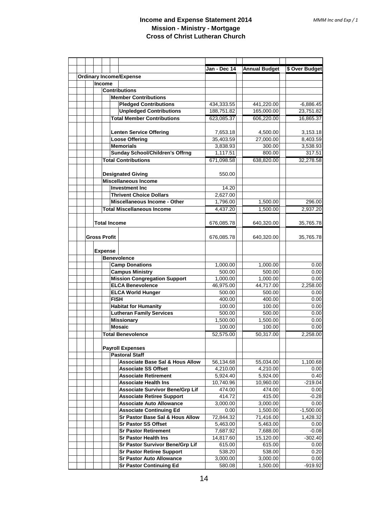|  |                     |                                                                            | Jan - Dec 14     | <b>Annual Budget</b> | \$ Over Budget  |
|--|---------------------|----------------------------------------------------------------------------|------------------|----------------------|-----------------|
|  |                     | <b>Ordinary Income/Expense</b>                                             |                  |                      |                 |
|  | <b>Income</b>       |                                                                            |                  |                      |                 |
|  |                     | <b>Contributions</b>                                                       |                  |                      |                 |
|  |                     | <b>Member Contributions</b>                                                |                  |                      |                 |
|  |                     | <b>Pledged Contributions</b>                                               | 434.333.55       | 441,220.00           | $-6,886.45$     |
|  |                     | <b>Unpledged Contributions</b>                                             | 188,751.82       | 165,000.00           | 23,751.82       |
|  |                     | <b>Total Member Contributions</b>                                          | 623,085.37       | 606,220.00           | 16,865.37       |
|  |                     |                                                                            |                  |                      |                 |
|  |                     | <b>Lenten Service Offering</b>                                             | 7,653.18         | 4,500.00             | 3,153.18        |
|  |                     | <b>Loose Offering</b>                                                      | 35,403.59        | 27,000.00            | 8,403.59        |
|  |                     | <b>Memorials</b>                                                           | 3,838.93         | 300.00               | 3,538.93        |
|  |                     | <b>Sunday School/Children's Offrng</b>                                     | 1,117.51         | 800.00               | 317.51          |
|  |                     | <b>Total Contributions</b>                                                 | 671,098.58       | 638,820.00           | 32,278.58       |
|  |                     |                                                                            |                  |                      |                 |
|  |                     | <b>Designated Giving</b>                                                   | 550.00           |                      |                 |
|  |                     | <b>Miscellaneous Income</b>                                                |                  |                      |                 |
|  |                     | <b>Investment Inc.</b>                                                     | 14.20            |                      |                 |
|  |                     | <b>Thrivent Choice Dollars</b>                                             | 2,627.00         |                      |                 |
|  |                     | <b>Miscellaneous Income - Other</b>                                        | 1,796.00         | 1,500.00             | 296.00          |
|  |                     | <b>Total Miscellaneous Income</b>                                          | 4,437.20         | 1,500.00             | 2,937.20        |
|  |                     |                                                                            |                  |                      |                 |
|  |                     | <b>Total Income</b>                                                        | 676,085.78       | 640,320.00           | 35,765.78       |
|  |                     |                                                                            |                  |                      |                 |
|  | <b>Gross Profit</b> |                                                                            | 676,085.78       | 640,320.00           | 35,765.78       |
|  |                     |                                                                            |                  |                      |                 |
|  | <b>Expense</b>      |                                                                            |                  |                      |                 |
|  |                     | <b>Benevolence</b>                                                         |                  |                      |                 |
|  |                     | <b>Camp Donations</b>                                                      | 1,000.00         | 1,000.00             | 0.00            |
|  |                     | <b>Campus Ministry</b>                                                     | 500.00           | 500.00               | 0.00            |
|  |                     | <b>Mission Congregation Support</b>                                        | 1,000.00         | 1,000.00             | 0.00            |
|  |                     | <b>ELCA Benevolence</b>                                                    | 46,975.00        | 44,717.00            | 2,258.00        |
|  |                     | <b>ELCA World Hunger</b>                                                   | 500.00           | 500.00               | 0.00            |
|  |                     | <b>FISH</b>                                                                | 400.00           | 400.00               | 0.00            |
|  |                     | <b>Habitat for Humanity</b>                                                | 100.00           | 100.00               | 0.00            |
|  |                     | <b>Lutheran Family Services</b>                                            | 500.00           | 500.00               | 0.00            |
|  |                     | <b>Missionary</b>                                                          | 1.500.00         | 1,500.00             | 0.00            |
|  |                     | <b>Mosaic</b>                                                              | 100.00           | 100.00               | 0.00            |
|  |                     | <b>Total Benevolence</b>                                                   | 52,575.00        | 50,317.00            | 2,258.00        |
|  |                     |                                                                            |                  |                      |                 |
|  |                     | <b>Payroll Expenses</b>                                                    |                  |                      |                 |
|  |                     | <b>Pastoral Staff</b>                                                      |                  |                      |                 |
|  |                     | <b>Associate Base Sal &amp; Hous Allow</b>                                 | 56,134.68        | 55,034.00            | 1,100.68        |
|  |                     | <b>Associate SS Offset</b>                                                 | 4,210.00         | 4,210.00             | 0.00            |
|  |                     | <b>Associate Retirement</b><br><b>Associate Health Ins</b>                 | 5,924.40         | 5,924.00             | 0.40            |
|  |                     |                                                                            | 10,740.96        | 10,960.00            | $-219.04$       |
|  |                     | <b>Associate Survivor Bene/Grp Lif</b><br><b>Associate Retiree Support</b> | 474.00<br>414.72 | 474.00<br>415.00     | 0.00<br>$-0.28$ |
|  |                     | <b>Associate Auto Allowance</b>                                            | 3,000.00         | 3,000.00             | 0.00            |
|  |                     | <b>Associate Continuing Ed</b>                                             | 0.00             | 1,500.00             | $-1,500.00$     |
|  |                     | Sr Pastor Base Sal & Hous Allow                                            | 72,844.32        | 71,416.00            | 1,428.32        |
|  |                     | <b>Sr Pastor SS Offset</b>                                                 | 5,463.00         | 5,463.00             | 0.00            |
|  |                     | <b>Sr Pastor Retirement</b>                                                | 7,687.92         | 7,688.00             | $-0.08$         |
|  |                     | <b>Sr Pastor Health Ins</b>                                                | 14,817.60        | 15,120.00            | $-302.40$       |
|  |                     | Sr Pastor Survivor Bene/Grp Lif                                            | 615.00           | 615.00               | 0.00            |
|  |                     | <b>Sr Pastor Retiree Support</b>                                           | 538.20           | 538.00               | 0.20            |
|  |                     | <b>Sr Pastor Auto Allowance</b>                                            | 3,000.00         | 3,000.00             | 0.00            |
|  |                     | <b>Sr Pastor Continuing Ed</b>                                             | 580.08           | 1,500.00             | $-919.92$       |
|  |                     |                                                                            |                  |                      |                 |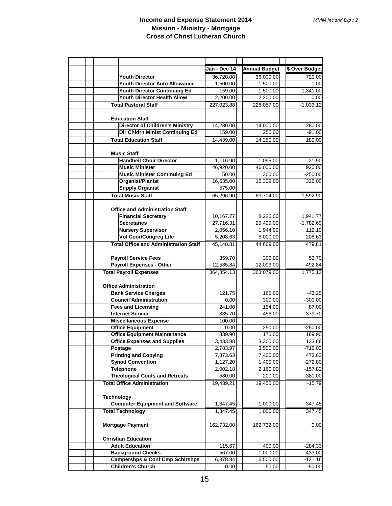|  |                                                           | Jan - Dec 14           | <b>Annual Budget</b>  | \$ Over Budget          |
|--|-----------------------------------------------------------|------------------------|-----------------------|-------------------------|
|  | <b>Youth Director</b>                                     | 36,720.00              | 36,000.00             | 720.00                  |
|  | Youth Director Auto Allowance                             | 1,500.00               | 1,500.00              | 0.00                    |
|  | <b>Youth Director Continuing Ed</b>                       | 159.00                 | 1,500.00              | $-1,341.00$             |
|  | Youth Director Health Allow                               | 2,200.00               | 2,200.00              | 0.00                    |
|  | <b>Total Pastoral Staff</b>                               | 227,023.88             | 228,057.00            | $-1,033.12$             |
|  |                                                           |                        |                       |                         |
|  | <b>Education Staff</b>                                    |                        |                       |                         |
|  | <b>Director of Children's Ministry</b>                    | 14,280.00              | 14,000.00             | 280.00                  |
|  | Dir Chldrn Minist Continuing Ed                           | 159.00                 | 250.00                | $-91.00$                |
|  | <b>Total Education Staff</b>                              | 14,439.00              | 14,250.00             | 189.00                  |
|  |                                                           |                        |                       |                         |
|  | <b>Music Staff</b>                                        |                        |                       |                         |
|  | <b>Handbell Choir Director</b>                            | 1,116.90               | 1,095.00              | 21.90                   |
|  | <b>Music Minister</b>                                     | 46,920.00              | 46,000.00             | 920.00                  |
|  | <b>Music Minister Continuing Ed</b>                       | 50.00                  | 300.00                | $-250.00$               |
|  | <b>Organist/Pianist</b>                                   | 16,635.00              | 16,309.00             | 326.00                  |
|  | <b>Supply Organist</b>                                    | 575.00                 |                       |                         |
|  | <b>Total Music Staff</b>                                  | 65,296.90              | 63,704.00             | 1,592.90                |
|  |                                                           |                        |                       |                         |
|  | <b>Office and Administration Staff</b>                    |                        |                       |                         |
|  | <b>Financial Secretary</b><br><b>Secretaries</b>          | 10,167.77<br>27,716.31 | 8,226.00<br>29,499.00 | 1,941.77<br>$-1,782.69$ |
|  | <b>Nursery Supervisor</b>                                 | 2,056.10               | 1,944.00              | 112.10                  |
|  | <b>Vol Coor/Congreg Life</b>                              | 5,208.63               | 5,000.00              | 208.63                  |
|  | <b>Total Office and Administration Staff</b>              | 45,148.81              | 44,669.00             | 479.81                  |
|  |                                                           |                        |                       |                         |
|  | <b>Payroll Service Fees</b>                               | 359.70                 | 306.00                | 53.70                   |
|  | <b>Payroll Expenses - Other</b>                           | 12,585.84              | 12,093.00             | 492.84                  |
|  | <b>Total Payroll Expenses</b>                             | 364,854.13             | 363,079.00            | 1,775.13                |
|  |                                                           |                        |                       |                         |
|  | <b>Office Administration</b>                              |                        |                       |                         |
|  | <b>Bank Service Charges</b>                               | 121.75                 | 165.00                | $-43.25$                |
|  | <b>Council Administration</b>                             | 0.00                   | 300.00                | $-300.00$               |
|  | <b>Fees and Licensing</b>                                 | 241.00                 | 154.00                | 87.00                   |
|  | <b>Internet Service</b>                                   | 835.70                 | 456.00                | 379.70                  |
|  | <b>Miscellaneous Expense</b>                              | 100.00                 |                       |                         |
|  | <b>Office Equipment</b>                                   | 0.00                   | 250.00                | $-250.00$               |
|  | <b>Office Equipment Maintenance</b>                       | 339.90                 | 170.00                | 169.90                  |
|  | <b>Office Expenses and Supplies</b>                       | 3,433.88               | 3,300.00              | 133.88                  |
|  | Postage                                                   | 2,783.97               | 3,500.00              | $-716.03$               |
|  | <b>Printing and Copying</b>                               | 7,873.63               | 7,400.00              | 473.63                  |
|  | <b>Synod Convention</b>                                   | 1,127.20               | 1,400.00<br>2,160.00  | $-272.80$<br>$-157.82$  |
|  | <b>Telephone</b><br><b>Theological Confs and Retreats</b> | 2,002.18<br>580.00     | 200.00                | 380.00                  |
|  | <b>Total Office Administration</b>                        | 19,439.21              | 19,455.00             | $-15.79$                |
|  |                                                           |                        |                       |                         |
|  | <b>Technology</b>                                         |                        |                       |                         |
|  | <b>Computer Equipment and Software</b>                    | 1,347.45               | 1,000.00              | 347.45                  |
|  | <b>Total Technology</b>                                   | 1,347.45               | 1,000.00              | 347.45                  |
|  |                                                           |                        |                       |                         |
|  | <b>Mortgage Payment</b>                                   | 162,732.00             | 162,732.00            | 0.00                    |
|  |                                                           |                        |                       |                         |
|  | <b>Christian Education</b>                                |                        |                       |                         |
|  | <b>Adult Education</b>                                    | 115.67                 | 400.00                | $-284.33$               |
|  | <b>Background Checks</b>                                  | 567.00                 | 1,000.00              | -433.00                 |
|  | <b>Campershps &amp; Conf Cmp Schirshps</b>                | 6,378.84               | 6,500.00              | $-121.16$               |
|  | <b>Children's Church</b>                                  | 0.00                   | 50.00                 | $-50.00$                |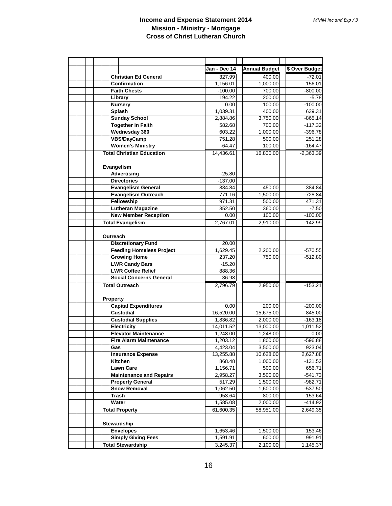|                                                                          | Jan - Dec 14          | <b>Annual Budget</b> | \$ Over Budget |
|--------------------------------------------------------------------------|-----------------------|----------------------|----------------|
| <b>Christian Ed General</b>                                              | 327.99                | 400.00               | $-72.01$       |
| <b>Confirmation</b>                                                      | 1,156.01              | 1,000.00             | 156.01         |
| <b>Faith Chests</b>                                                      | $-100.00$             | 700.00               | $-800.00$      |
| Library                                                                  | 194.22                | 200.00               | $-5.78$        |
| <b>Nursery</b>                                                           | 0.00                  | 100.00               | $-100.00$      |
| <b>Splash</b>                                                            | 1,039.31              | 400.00               | 639.31         |
| <b>Sunday School</b>                                                     | 2,884.86              | 3,750.00             | $-865.14$      |
| <b>Together in Faith</b>                                                 | 582.68                | 700.00               | $-117.32$      |
| <b>Wednesday 360</b>                                                     | 603.22                | 1,000.00             | $-396.78$      |
| <b>VBS/DayCamp</b>                                                       | 751.28                | 500.00               | 251.28         |
| <b>Women's Ministry</b>                                                  | $-64.47$              | 100.00               | $-164.47$      |
| <b>Total Christian Education</b>                                         | 14,436.61             | 16,800.00            | $-2,363.39$    |
| Evangelism<br><b>Advertising</b><br><b>Directories</b>                   | $-25.80$<br>$-137.00$ |                      |                |
| Evangelism General                                                       | 834.84                | 450.00               | 384.84         |
| <b>Evangelism Outreach</b>                                               | 771.16                | 1,500.00             | $-728.84$      |
| Fellowship                                                               | 971.31                | 500.00               | 471.31         |
| <b>Lutheran Magazine</b>                                                 | 352.50                | 360.00               | $-7.50$        |
| <b>New Member Reception</b>                                              | 0.00                  | 100.00               | $-100.00$      |
| <b>Total Evangelism</b>                                                  | 2,767.01              | 2,910.00             | $-142.99$      |
| Outreach<br><b>Discretionary Fund</b><br><b>Feeding Homeless Project</b> | 20.00<br>1,629.45     | 2,200.00             | $-570.55$      |
| <b>Growing Home</b>                                                      | 237.20                | 750.00               | $-512.80$      |
| <b>LWR Candy Bars</b>                                                    | $-15.20$              |                      |                |
| <b>LWR Coffee Relief</b>                                                 | 888.36                |                      |                |
| <b>Social Concerns General</b>                                           | 36.98                 |                      |                |
| <b>Total Outreach</b>                                                    | 2,796.79              | 2,950.00             | $-153.21$      |
| Property<br><b>Capital Expenditures</b>                                  | 0.00                  | 200.00               | $-200.00$      |
| <b>Custodial</b>                                                         | 16,520.00             | 15,675.00            | 845.00         |
| <b>Custodial Supplies</b>                                                | 1,836.82              | 2,000.00             | $-163.18$      |
| <b>Electricity</b>                                                       | 14,011.52             | 13,000.00            | 1,011.52       |
| <b>Elevator Maintenance</b>                                              | 1,248.00              | 1,248.00             | 0.00           |
| <b>Fire Alarm Maintenance</b>                                            | 1,203.12              | 1,800.00             | $-596.88$      |
| Gas                                                                      | 4,423.04              | 3,500.00             | 923.04         |
| <b>Insurance Expense</b>                                                 | 13,255.88             | 10,628.00            | 2,627.88       |
| Kitchen                                                                  | 868.48                | 1,000.00             | $-131.52$      |
| <b>Lawn Care</b>                                                         | 1,156.71              | 500.00               | 656.71         |
| <b>Maintenance and Repairs</b>                                           | 2,958.27              | 3,500.00             | $-541.73$      |
| <b>Property General</b>                                                  | 517.29                | 1,500.00             | $-982.71$      |
| <b>Snow Removal</b>                                                      | 1,062.50              | 1,600.00             | $-537.50$      |
| <b>Trash</b>                                                             | 953.64                | 800.00               | 153.64         |
| Water                                                                    | 1,585.08              | 2,000.00             | $-414.92$      |
| <b>Total Property</b>                                                    | 61,600.35             | 58,951.00            | 2,649.35       |
| Stewardship                                                              |                       |                      |                |
| <b>Envelopes</b>                                                         | 1,653.46              | 1,500.00             | 153.46         |
| <b>Simply Giving Fees</b>                                                | 1,591.91              | 600.00               | 991.91         |
| <b>Total Stewardship</b>                                                 | 3,245.37              | 2,100.00             | 1,145.37       |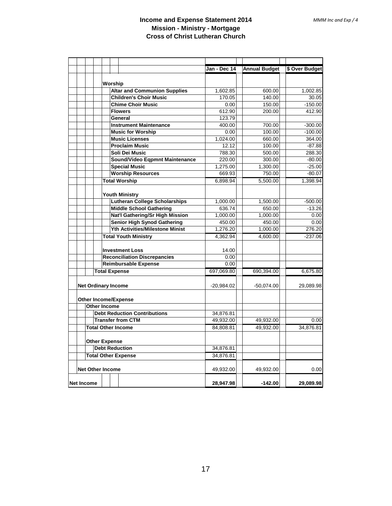|                                                           | Jan - Dec 14   | <b>Annual Budget</b> | \$ Over Budget      |
|-----------------------------------------------------------|----------------|----------------------|---------------------|
|                                                           |                |                      |                     |
| Worship                                                   |                |                      |                     |
| <b>Altar and Communion Supplies</b>                       | 1.602.85       | 600.00               | 1.002.85            |
| <b>Children's Choir Music</b><br><b>Chime Choir Music</b> | 170.05<br>0.00 | 140.00               | 30.05               |
| <b>Flowers</b>                                            | 612.90         | 150.00<br>200.00     | $-150.00$<br>412.90 |
| General                                                   | 123.79         |                      |                     |
| <b>Instrument Maintenance</b>                             | 400.00         | 700.00               | $-300.00$           |
| <b>Music for Worship</b>                                  | 0.00           | 100.00               | $-100.00$           |
| <b>Music Licenses</b>                                     | 1.024.00       | 660.00               | 364.00              |
| <b>Proclaim Music</b>                                     | 12.12          | 100.00               | $-87.88$            |
| Soli Dei Music                                            | 788.30         | 500.00               | 288.30              |
| Sound/Video Eqpmnt Maintenance                            | 220.00         | 300.00               | $-80.00$            |
| <b>Special Music</b>                                      | 1.275.00       | 1.300.00             | $-25.00$            |
| <b>Worship Resources</b>                                  | 669.93         | 750.00               | $-80.07$            |
| <b>Total Worship</b>                                      | 6,898.94       | 5,500.00             | 1,398.94            |
| <b>Youth Ministry</b>                                     |                |                      |                     |
| <b>Lutheran College Scholarships</b>                      | 1,000.00       | 1,500.00             | $-500.00$           |
| <b>Middle School Gathering</b>                            | 636.74         | 650.00               | $-13.26$            |
| <b>Nat'l Gathering/Sr High Mission</b>                    | 1,000.00       | 1,000.00             | 0.00                |
| <b>Senior High Synod Gathering</b>                        | 450.00         | 450.00               | 0.00                |
| <b>Yth Activities/Milestone Minist</b>                    | 1.276.20       | 1.000.00             | 276.20              |
| <b>Total Youth Ministry</b>                               | 4.362.94       | 4.600.00             | $-237.06$           |
| <b>Investment Loss</b>                                    | 14.00          |                      |                     |
| <b>Reconciliation Discrepancies</b>                       | 0.00           |                      |                     |
| <b>Reimbursable Expense</b>                               | 0.00           |                      |                     |
| <b>Total Expense</b>                                      | 697.069.80     | 690,394.00           | 6,675.80            |
|                                                           |                |                      |                     |
| <b>Net Ordinary Income</b>                                | $-20,984.02$   | $-50,074.00$         | 29,089.98           |
| <b>Other Income/Expense</b>                               |                |                      |                     |
| Other Income                                              |                |                      |                     |
| <b>Debt Reduction Contributions</b>                       | 34,876.81      |                      |                     |
| <b>Transfer from CTM</b>                                  | 49,932.00      | 49,932.00            | 0.00                |
| <b>Total Other Income</b>                                 | 84.808.81      | 49.932.00            | 34,876.81           |
| <b>Other Expense</b>                                      |                |                      |                     |
| <b>Debt Reduction</b>                                     | 34,876.81      |                      |                     |
| <b>Total Other Expense</b>                                | 34.876.81      |                      |                     |
| <b>Net Other Income</b>                                   | 49,932.00      | 49,932.00            | 0.00                |
| <b>Net Income</b>                                         | 28,947.98      | $-142.00$            | 29,089.98           |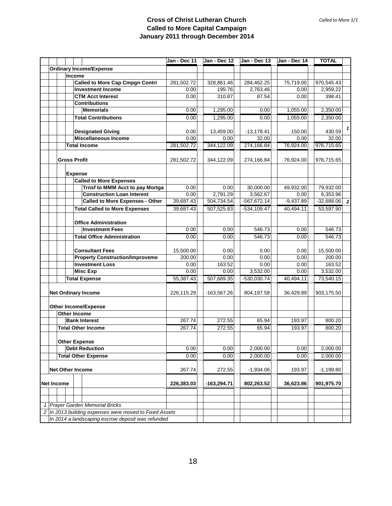#### **Cross of Christ Lutheran Church Called to More Capital Campaign January 2011 through December 2014**

|                                |  |                                                        | Jan - Dec 11  | Jan - Dec 12  | Jan - Dec 13   | Jan - Dec 14 | <b>TOTAL</b>                   |
|--------------------------------|--|--------------------------------------------------------|---------------|---------------|----------------|--------------|--------------------------------|
| <b>Ordinary Income/Expense</b> |  |                                                        |               |               |                |              |                                |
| Income                         |  |                                                        |               |               |                |              |                                |
|                                |  | <b>Called to More Cap Cmpgn Contri</b>                 | 281,502.72    | 328,861.46    | 284,462.25     | 75,719.00    | 970,545.43                     |
|                                |  | <b>Investment Income</b>                               | 0.00          | 195.76        | 2,763.46       | 0.00         | 2,959.22                       |
|                                |  | <b>CTM Acct Interest</b>                               | 0.00          | 310.87        | 87.54          | 0.00         | 398.41                         |
|                                |  | <b>Contributions</b>                                   |               |               |                |              |                                |
|                                |  | <b>Memorials</b>                                       | 0.00          | 1,295.00      | 0.00           | 1,055.00     | 2,350.00                       |
|                                |  | <b>Total Contributions</b>                             | 0.00          | 1,295.00      | 0.00           | 1,055.00     | 2,350.00                       |
|                                |  |                                                        |               |               |                |              | 1                              |
|                                |  | <b>Designated Giving</b>                               | 0.00          | 13,459.00     | $-13,178.41$   | 150.00       | 430.59                         |
|                                |  | <b>Miscellaneous Income</b>                            | 0.00          | 0.00          | 32.00          | 0.00         | 32.00                          |
|                                |  | <b>Total Income</b>                                    | 281,502.72    | 344,122.09    | 274,166.84     | 76,924.00    | 976,715.65                     |
|                                |  |                                                        |               |               |                |              |                                |
|                                |  | <b>Gross Profit</b>                                    | 281,502.72    | 344,122.09    | 274,166.84     | 76,924.00    | 976,715.65                     |
|                                |  |                                                        |               |               |                |              |                                |
|                                |  | <b>Expense</b>                                         |               |               |                |              |                                |
|                                |  | <b>Called to More Expenses</b>                         |               |               |                |              |                                |
|                                |  | Trnsf to MMM Acct to pay Mortga                        | 0.00          | 0.00          | 30,000.00      | 49,932.00    | 79,932.00                      |
|                                |  | <b>Construction Loan Interest</b>                      | 0.00          | 2,791.29      | 3,562.67       | 0.00         | 6,353.96                       |
|                                |  | <b>Called to More Expenses - Other</b>                 | 39,687.43     | 504,734.54    | $-567,672.14$  | $-9,437.89$  | $-32,688.06$<br>$\overline{2}$ |
|                                |  | <b>Total Called to More Expenses</b>                   | 39,687.43     | 507,525.83    | $-534, 109.47$ | 40.494.11    | 53,597.90                      |
|                                |  |                                                        |               |               |                |              |                                |
|                                |  | <b>Office Administration</b>                           |               |               |                |              |                                |
|                                |  | <b>Investment Fees</b>                                 | 0.00          | 0.00          | 546.73         | 0.00         | 546.73                         |
|                                |  | <b>Total Office Administration</b>                     | 0.00          | 0.00          | 546.73         | 0.00         | 546.73                         |
|                                |  |                                                        |               |               |                |              |                                |
|                                |  | <b>Consultant Fees</b>                                 | 15,500.00     | 0.00          | 0.00           | 0.00         | 15,500.00                      |
|                                |  | <b>Property Construction/Improveme</b>                 | 200.00        | 0.00          | 0.00           | 0.00         | 200.00                         |
|                                |  | <b>Investment Loss</b>                                 | 0.00          | 163.52        | 0.00           | 0.00         | 163.52                         |
|                                |  | <b>Misc Exp</b>                                        | 0.00          | 0.00          | 3,532.00       | 0.00         | 3,532.00                       |
|                                |  | <b>Total Expense</b>                                   | 55,387.43     | 507,689.35    | $-530,030.74$  | 40,494.11    | 73,540.15                      |
|                                |  |                                                        |               |               |                |              |                                |
|                                |  | <b>Net Ordinary Income</b>                             | 226,115.29    | $-163,567.26$ | 804,197.58     | 36,429.89    | 903,175.50                     |
|                                |  |                                                        |               |               |                |              |                                |
|                                |  | <b>Other Income/Expense</b><br>Other Income            |               |               |                |              |                                |
|                                |  | <b>Bank Interest</b>                                   | 267.74        | 272.55        | 65.94          | 193.97       | 800.20                         |
|                                |  | <b>Total Other Income</b>                              | 267.74        | 272.55        | 65.94          | 193.97       | 800.20                         |
|                                |  |                                                        |               |               |                |              |                                |
|                                |  | <b>Other Expense</b>                                   |               |               |                |              |                                |
|                                |  | <b>Debt Reduction</b>                                  | 0.00          | 0.00          | 2,000.00       | 0.00         | 2,000.00                       |
|                                |  | <b>Total Other Expense</b>                             | 0.00          | 0.00          | 2.000.00       | 0.00         | 2,000.00                       |
|                                |  |                                                        |               |               |                |              |                                |
|                                |  | <b>Net Other Income</b>                                | 267.74        | 272.55        | $-1,934.06$    | 193.97       | $-1,199.80$                    |
|                                |  |                                                        |               |               |                |              |                                |
| <b>Net Income</b>              |  | 226,383.03                                             | $-163,294.71$ | 802,263.52    | 36,623.86      | 901,975.70   |                                |
|                                |  |                                                        |               |               |                |              |                                |
|                                |  |                                                        |               |               |                |              |                                |
|                                |  | <b>Prayer Garden Memorial Bricks</b>                   |               |               |                |              |                                |
|                                |  | 2 In 2013 building expenses were moved to Fixed Assets |               |               |                |              |                                |
|                                |  | In 2014 a landscaping escrow deposit was refunded      |               |               |                |              |                                |
|                                |  |                                                        |               |               |                |              |                                |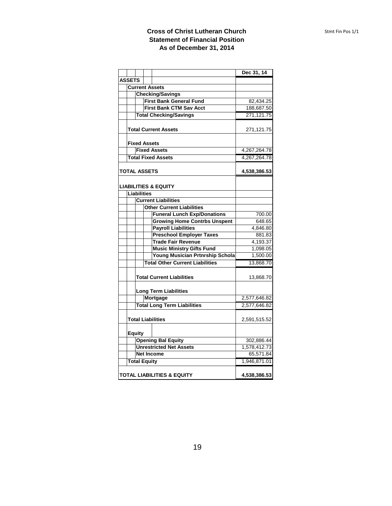#### **Cross of Christ Lutheran Church Statement of Financial Position As of December 31, 2014**

|               |                     |                                        | Dec 31, 14   |
|---------------|---------------------|----------------------------------------|--------------|
| <b>ASSETS</b> |                     |                                        |              |
|               |                     | <b>Current Assets</b>                  |              |
|               |                     | <b>Checking/Savings</b>                |              |
|               |                     | <b>First Bank General Fund</b>         | 82,434.25    |
|               |                     | <b>First Bank CTM Sav Acct</b>         | 188,687.50   |
|               |                     | <b>Total Checking/Savings</b>          | 271,121.75   |
|               |                     | <b>Total Current Assets</b>            | 271,121.75   |
|               | <b>Fixed Assets</b> |                                        |              |
|               |                     | <b>Fixed Assets</b>                    | 4,267,264.78 |
|               |                     | <b>Total Fixed Assets</b>              | 4,267,264.78 |
|               | <b>TOTAL ASSETS</b> | 4,538,386.53                           |              |
|               |                     | <b>LIABILITIES &amp; EQUITY</b>        |              |
|               | <b>Liabilities</b>  |                                        |              |
|               |                     | <b>Current Liabilities</b>             |              |
|               |                     | <b>Other Current Liabilities</b>       |              |
|               |                     | <b>Funeral Lunch Exp/Donations</b>     | 700.00       |
|               |                     | <b>Growing Home Contrbs Unspent</b>    | 648.65       |
|               |                     | <b>Payroll Liabilities</b>             | 4,846.80     |
|               |                     | <b>Preschool Employer Taxes</b>        | 881.83       |
|               |                     | <b>Trade Fair Revenue</b>              | 4,193.37     |
|               |                     | <b>Music Ministry Gifts Fund</b>       | 1,098.05     |
|               |                     | <b>Young Musician Prtnrship Schola</b> | 1,500.00     |
|               |                     | <b>Total Other Current Liabilities</b> | 13,868.70    |
|               |                     | <b>Total Current Liabilities</b>       | 13,868.70    |
|               |                     | <b>Long Term Liabilities</b>           |              |
|               |                     | Mortgage                               | 2,577,646.82 |
|               |                     | <b>Total Long Term Liabilities</b>     | 2,577,646.82 |
|               |                     | <b>Total Liabilities</b>               | 2,591,515.52 |
|               | <b>Equity</b>       |                                        |              |
|               |                     | <b>Opening Bal Equity</b>              | 302,886.44   |
|               |                     | <b>Unrestricted Net Assets</b>         | 1,578,412.73 |
|               |                     | <b>Net Income</b>                      | 65,571.84    |
|               | <b>Total Equity</b> |                                        | 1,946,871.01 |
|               |                     | <b>TOTAL LIABILITIES &amp; EQUITY</b>  | 4,538,386.53 |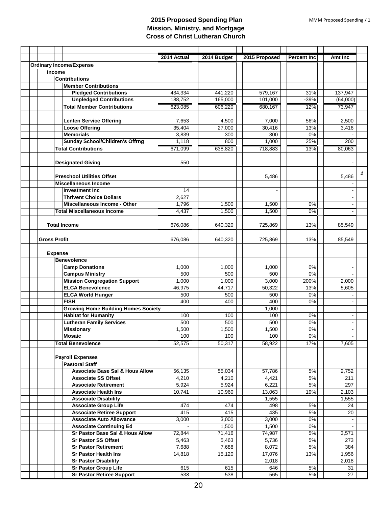|                                                                | 2014 Actual  | 2014 Budget  | 2015 Proposed  | <b>Percent Inc.</b> | Amt Inc        |
|----------------------------------------------------------------|--------------|--------------|----------------|---------------------|----------------|
| <b>Ordinary Income/Expense</b>                                 |              |              |                |                     |                |
| Income                                                         |              |              |                |                     |                |
| <b>Contributions</b>                                           |              |              |                |                     |                |
| <b>Member Contributions</b>                                    |              |              |                |                     |                |
| <b>Pledged Contributions</b>                                   | 434,334      | 441,220      | 579,167        | 31%                 | 137,947        |
| <b>Unpledged Contributions</b>                                 | 188,752      | 165,000      | 101,000        | $-39%$              | (64,000)       |
| <b>Total Member Contributions</b>                              | 623,085      | 606,220      | 680,167        | 12%                 | 73,947         |
|                                                                |              |              |                |                     |                |
| <b>Lenten Service Offering</b>                                 | 7,653        | 4,500        | 7,000          | 56%                 | 2,500          |
| <b>Loose Offering</b>                                          | 35,404       | 27,000       | 30,416         | 13%                 | 3,416          |
| <b>Memorials</b>                                               | 3,839        | 300          | 300            | 0%                  |                |
| <b>Sunday School/Children's Offrng</b>                         | 1,118        | 800          | 1,000          | 25%                 | 200            |
| <b>Total Contributions</b>                                     | 671,099      | 638,820      | 718,883        | 13%                 | 80,063         |
|                                                                |              |              |                |                     |                |
| <b>Designated Giving</b>                                       | 550          |              |                |                     |                |
|                                                                |              |              |                |                     |                |
| <b>Preschool Utilities Offset</b>                              |              |              | 5,486          |                     | 5,486          |
| <b>Miscellaneous Income</b>                                    |              |              |                |                     |                |
| <b>Investment Inc.</b>                                         | 14           |              | $\blacksquare$ |                     |                |
| <b>Thrivent Choice Dollars</b>                                 | 2,627        |              |                |                     |                |
| <b>Miscellaneous Income - Other</b>                            | 1,796        | 1,500        | 1,500          | 0%                  |                |
| <b>Total Miscellaneous Income</b>                              | 4,437        | 1,500        | 1,500          | 0%                  |                |
|                                                                |              |              |                |                     |                |
| <b>Total Income</b>                                            | 676,086      | 640,320      | 725,869        | 13%                 | 85,549         |
|                                                                |              |              |                |                     |                |
| <b>Gross Profit</b>                                            | 676,086      | 640,320      | 725,869        | 13%                 | 85,549         |
|                                                                |              |              |                |                     |                |
| <b>Expense</b>                                                 |              |              |                |                     |                |
| <b>Benevolence</b>                                             | 1,000        | 1,000        | 1,000          | 0%                  |                |
| <b>Camp Donations</b>                                          |              |              |                |                     | $\blacksquare$ |
| <b>Campus Ministry</b>                                         | 500          | 500          | 500            | 0%<br>200%          |                |
| <b>Mission Congregation Support</b>                            | 1,000        | 1,000        | 3,000          | 13%                 | 2,000          |
| <b>ELCA Benevolence</b>                                        | 46,975       | 44,717       | 50,322         |                     | 5,605          |
| <b>ELCA World Hunger</b><br><b>FISH</b>                        | 500          | 500          | 500            | 0%                  |                |
|                                                                | 400          | 400          | 400            | 0%                  |                |
| <b>Growing Home Building Homes Society</b>                     |              |              | 1,000          |                     |                |
| <b>Habitat for Humanity</b><br><b>Lutheran Family Services</b> | 100<br>500   | 100<br>500   | 100            | 0%<br>0%            | $\sim$         |
|                                                                |              |              | 500            |                     |                |
| <b>Missionary</b><br><b>Mosaic</b>                             | 1,500<br>100 | 1,500<br>100 | 1,500<br>100   | 0%<br>0%            |                |
| <b>Total Benevolence</b>                                       |              | 50,317       |                | 17%                 | $\blacksquare$ |
|                                                                | 52,575       |              | 58,922         |                     | 7,605          |
| <b>Payroll Expenses</b>                                        |              |              |                |                     |                |
| <b>Pastoral Staff</b>                                          |              |              |                |                     |                |
| <b>Associate Base Sal &amp; Hous Allow</b>                     | 56,135       | 55,034       | 57,786         | 5%                  | 2,752          |
| <b>Associate SS Offset</b>                                     | 4,210        | 4,210        | 4,421          | $5%$                | 211            |
| <b>Associate Retirement</b>                                    | 5,924        | 5,924        | 6,221          | 5%                  | 297            |
| <b>Associate Health Ins</b>                                    | 10,741       | 10,960       | 13,063         | 19%                 | 2,103          |
| <b>Associate Disability</b>                                    |              |              | 1,555          |                     | 1,555          |
| <b>Associate Group Life</b>                                    | 474          | 474          | 498            | 5%                  | 24             |
| <b>Associate Retiree Support</b>                               | 415          | 415          | 435            | 5%                  | 20             |
| <b>Associate Auto Allowance</b>                                | 3,000        | 3,000        | 3,000          | $0\%$               |                |
| <b>Associate Continuing Ed</b>                                 |              | 1,500        | 1,500          | 0%                  |                |
| <b>Sr Pastor Base Sal &amp; Hous Allow</b>                     | 72,844       | 71,416       | 74,987         | 5%                  | 3,571          |
| <b>Sr Pastor SS Offset</b>                                     | 5,463        | 5,463        | 5,736          | 5%                  | 273            |
| <b>Sr Pastor Retirement</b>                                    | 7,688        | 7,688        | 8,072          | 5%                  | 384            |
| <b>Sr Pastor Health Ins</b>                                    | 14,818       | 15,120       | 17,076         | 13%                 | 1,956          |
| <b>Sr Pastor Disability</b>                                    |              |              | 2,018          |                     | 2,018          |
| <b>Sr Pastor Group Life</b>                                    | 615          | 615          | 646            | 5%                  | 31             |
| <b>Sr Pastor Retiree Support</b>                               | 538          | 538          | 565            | $5\%$               | 27             |
|                                                                |              |              |                |                     |                |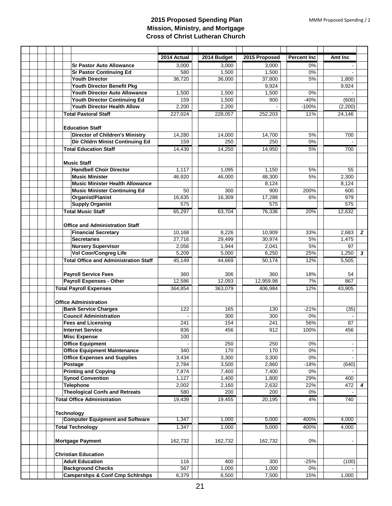|                                              | 2014 Actual | 2014 Budget        | 2015 Proposed | <b>Percent Inc</b> | Amt Inc        |                         |
|----------------------------------------------|-------------|--------------------|---------------|--------------------|----------------|-------------------------|
| <b>Sr Pastor Auto Allowance</b>              | 3,000       | 3,000              | 3,000         | 0%                 |                |                         |
| <b>Sr Pastor Continuing Ed</b>               | 580         | 1,500              | 1,500         | 0%                 |                |                         |
| <b>Youth Director</b>                        | 36,720      | 36,000             | 37,800        | 5%                 | 1,800          |                         |
| Youth Director Benefit Pkg                   |             |                    | 9,924         |                    | 9,924          |                         |
| <b>Youth Director Auto Allowance</b>         | 1,500       | 1,500              | 1,500         | 0%                 |                |                         |
| Youth Director Continuing Ed                 | 159         | 1,500              | 900           | $-40%$             | (600)          |                         |
| <b>Youth Director Health Allow</b>           | 2,200       | 2,200              |               | $-100%$            | (2,200)        |                         |
| <b>Total Pastoral Staff</b>                  | 227,024     | 228,057            | 252,203       | 11%                | 24,146         |                         |
|                                              |             |                    |               |                    |                |                         |
| <b>Education Staff</b>                       |             |                    |               |                    |                |                         |
| <b>Director of Children's Ministry</b>       | 14,280      | 14,000             | 14,700        | 5%                 | 700            |                         |
| Dir Chldrn Minist Continuing Ed              | 159         | 250                | 250           | 0%                 |                |                         |
| <b>Total Education Staff</b>                 | 14,439      | 14,250             | 14,950        | 5%                 | 700            |                         |
|                                              |             |                    |               |                    |                |                         |
| <b>Music Staff</b>                           |             |                    |               |                    |                |                         |
| <b>Handbell Choir Director</b>               | 1,117       | 1,095              | 1,150         | 5%                 | 55             |                         |
| <b>Music Minister</b>                        | 46,920      | 46,000             | 48,300        | 5%                 | 2,300          |                         |
| <b>Music Minister Health Allowance</b>       |             |                    | 8,124         |                    | 8,124          |                         |
| <b>Music Minister Continuing Ed</b>          | 50          | 300                | 900           | 200%               | 600            |                         |
| Organist/Pianist                             | 16,635      | 16,309             | 17,288        | 6%                 | 979            |                         |
| <b>Supply Organist</b>                       | 575         |                    | 575           |                    | 575            |                         |
| <b>Total Music Staff</b>                     | 65,297      | 63,704             | 76,336        | 20%                | 12,632         |                         |
|                                              |             |                    |               |                    |                |                         |
| <b>Office and Administration Staff</b>       |             |                    |               |                    |                |                         |
| <b>Financial Secretary</b>                   | 10,168      | 8,226              | 10.909        | 33%                | 2,683          | $\overline{2}$          |
| <b>Secretaries</b>                           | 27,716      | 29,499             | 30,974        | 5%                 | 1,475          |                         |
| <b>Nursery Supervisor</b>                    | 2,056       | 1,944              | 2,041         | 5%                 | 97             |                         |
| <b>Vol Coor/Congreg Life</b>                 | 5,209       | 5,000              | 6,250         | 25%                | 1,250          | $\overline{\mathbf{3}}$ |
| <b>Total Office and Administration Staff</b> | 45,149      | 44,669             | 50,174        | 12%                | 5,505          |                         |
|                                              |             |                    |               |                    |                |                         |
| <b>Payroll Service Fees</b>                  | 360         | 306                | 360           | 18%                | 54             |                         |
| <b>Payroll Expenses - Other</b>              | 12,586      | 12,093             | 12,959.98     | 7%                 | 867            |                         |
| <b>Total Payroll Expenses</b>                | 364,854     | 363,079            | 406,984       | 12%                | 43,905         |                         |
|                                              |             |                    |               |                    |                |                         |
| <b>Office Administration</b>                 |             |                    |               |                    |                |                         |
| <b>Bank Service Charges</b>                  | 122         | 165                | 130           | $-21%$             | (35)           |                         |
| <b>Council Administration</b>                |             | 300                | 300           | 0%                 |                |                         |
| <b>Fees and Licensing</b>                    | 241         | 154                | 241           | 56%                | 87             |                         |
| <b>Internet Service</b>                      | 836         | 456                | 912           | 100%               | 456            |                         |
| <b>Misc Expense</b>                          | 100         |                    |               |                    |                |                         |
| <b>Office Equipment</b>                      |             | 250                | 250           | 0%                 | $\blacksquare$ |                         |
| <b>Office Equipment Maintenance</b>          | 340         | 170                | 170           | 0%                 | $\blacksquare$ |                         |
| <b>Office Expenses and Supplies</b>          | 3,434       | 3,300              | 3,300         | $0\%$              |                |                         |
| Postage                                      | 2,784       | 3,500              | 2,860         | $-18%$             | (640)          |                         |
| <b>Printing and Copying</b>                  | 7,874       | 7,400              | 7,400         | 0%                 |                |                         |
| <b>Synod Convention</b>                      | 1,127       | $\overline{1,}400$ | 1.800         | 29%                | 400            |                         |
| <b>Telephone</b>                             | 2,002       | 2,160              | 2,632         | 22%                | 472            | 4                       |
| <b>Theological Confs and Retreats</b>        | 580         | 200                | 200           | 0%                 |                |                         |
| <b>Total Office Administration</b>           | 19,439      | 19,455             | 20,195        | 4%                 | 740            |                         |
|                                              |             |                    |               |                    |                |                         |
| <b>Technology</b>                            |             |                    |               |                    |                |                         |
| <b>Computer Equipment and Software</b>       | 1,347       | 1,000              | 5,000         | 400%               | 4,000          |                         |
| <b>Total Technology</b>                      | 1,347       | 1,000              | 5,000         | 400%               | 4,000          |                         |
|                                              |             |                    |               |                    |                |                         |
| <b>Mortgage Payment</b>                      | 162,732     | 162,732            | 162,732       | $0\%$              |                |                         |
|                                              |             |                    |               |                    |                |                         |
| <b>Christian Education</b>                   |             |                    |               |                    |                |                         |
| <b>Adult Education</b>                       | 116         | 400                | 300           | $-25%$             | (100)          |                         |
| <b>Background Checks</b>                     | 567         | 1,000              | 1,000         | 0%                 |                |                         |
| <b>Campershps &amp; Conf Cmp Schirshps</b>   | 6,379       | 6,500              | 7,500         | 15%                | 1,000          |                         |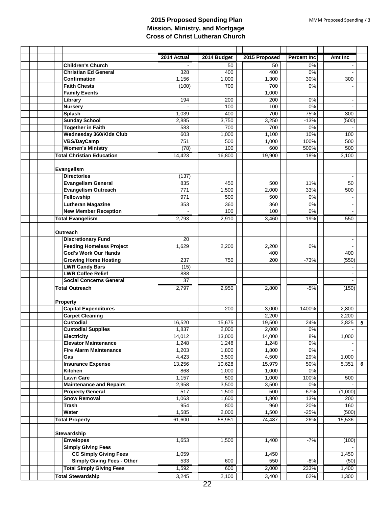|                                   | 2014 Actual              | 2014 Budget    | 2015 Proposed  | <b>Percent Inc</b> | Amt Inc        |
|-----------------------------------|--------------------------|----------------|----------------|--------------------|----------------|
| <b>Children's Church</b>          |                          | 50             | 50             | 0%                 |                |
| <b>Christian Ed General</b>       | 328                      | 400            | 400            | 0%                 |                |
| <b>Confirmation</b>               | 1,156                    | 1,000          | 1,300          | 30%                | 300            |
| <b>Faith Chests</b>               | (100)                    | 700            | 700            | 0%                 |                |
| <b>Family Events</b>              |                          |                | 1,000          |                    |                |
| Library                           | 194                      | 200            | 200            | 0%                 |                |
| <b>Nursery</b>                    |                          | 100            | 100            | 0%                 | $\overline{a}$ |
| <b>Splash</b>                     | 1,039                    | 400            | 700            | 75%                | 300            |
| <b>Sunday School</b>              | 2,885                    | 3,750          | 3,250          | $-13%$             | (500)          |
| <b>Together in Faith</b>          | 583                      | 700            | 700            | 0%                 |                |
| Wednesday 360/Kids Club           | 603                      | 1,000          | 1,100          | 10%                | 100            |
| <b>VBS/DayCamp</b>                | 751                      | 500            | 1,000          | 100%               | 500            |
| <b>Women's Ministry</b>           | (78)                     | 100            | 600            | 500%               | 500            |
| <b>Total Christian Education</b>  | 14,423                   | 16,800         | 19,900         | 18%                | 3,100          |
|                                   |                          |                |                |                    |                |
| Evangelism                        |                          |                |                |                    |                |
| <b>Directories</b>                | (137)                    |                |                |                    |                |
| <b>Evangelism General</b>         | 835                      | 450            | 500            | 11%                | 50             |
| <b>Evangelism Outreach</b>        | 771                      | 1,500          | 2,000          | 33%                | 500            |
| Fellowship                        | 971                      | 500            | 500            | 0%                 |                |
| <b>Lutheran Magazine</b>          | 353                      | 360            | 360            | 0%                 |                |
| <b>New Member Reception</b>       |                          | 100            | 100            | 0%                 |                |
| <b>Total Evangelism</b>           | 2,793                    | 2,910          | 3,460          | 19%                | 550            |
|                                   |                          |                |                |                    |                |
| Outreach                          |                          |                |                |                    |                |
| <b>Discretionary Fund</b>         | 20                       |                |                |                    |                |
| <b>Feeding Homeless Project</b>   | 1,629                    | 2,200          | 2,200          | 0%                 |                |
| <b>God's Work Our Hands</b>       |                          |                | 400            |                    | 400            |
| <b>Growing Home Hosting</b>       | 237                      | 750            | 200            | $-73%$             | (550)          |
| <b>LWR Candy Bars</b>             | (15)                     |                |                |                    |                |
| <b>LWR Coffee Relief</b>          | 888                      |                |                |                    |                |
| <b>Social Concerns General</b>    | $\overline{37}$          |                |                |                    |                |
| <b>Total Outreach</b>             | 2,797                    | 2,950          | 2,800          | $-5%$              | (150)          |
|                                   |                          |                |                |                    |                |
| <b>Property</b>                   |                          |                |                |                    |                |
| <b>Capital Expenditures</b>       | $\overline{\phantom{a}}$ | 200            | 3,000          | 1400%              | 2,800          |
| <b>Carpet Cleaning</b>            |                          |                | 2,200          |                    | 2,200          |
| <b>Custodial</b>                  | 16,520                   | 15,675         | 19,500         | 24%                | 3,825<br>5     |
| <b>Custodial Supplies</b>         | 1,837                    | 2,000          | 2,000          | 0%                 |                |
| <b>Electricity</b>                | 14,012                   | 13,000         | 14,000         | 8%                 | 1,000          |
| <b>Elevator Maintenance</b>       | 1,248                    | 1,248          | 1,248          | 0%                 |                |
| <b>Fire Alarm Maintenance</b>     | 1,203                    | 1,800          | 1,800          | $0\%$              |                |
| Gas                               | 4,423                    | 3,500          | 4,500          | 29%                | 1,000          |
| <b>Insurance Expense</b>          | 13,256                   | 10,628         | 15,979         | 50%                | 5,351<br>6     |
| Kitchen<br><b>Lawn Care</b>       | 868                      | 1,000          | 1,000          | $0\%$<br>100%      |                |
| <b>Maintenance and Repairs</b>    | 1,157                    | 500            | 1,000<br>3,500 | 0%                 | 500            |
| <b>Property General</b>           | 2,958<br>517             | 3,500<br>1,500 | 500            | $-67%$             | (1,000)        |
| <b>Snow Removal</b>               | 1,063                    | 1,600          | 1,800          | 13%                | 200            |
| Trash                             | 954                      | 800            | 960            | 20%                | 160            |
| Water                             | 1,585                    | 2,000          | 1,500          | $-25%$             | (500)          |
| <b>Total Property</b>             | 61,600                   | 58,951         | 74,487         | 26%                | 15,536         |
|                                   |                          |                |                |                    |                |
| Stewardship                       |                          |                |                |                    |                |
| <b>Envelopes</b>                  | 1,653                    | 1,500          | 1,400          | $-7%$              | (100)          |
| <b>Simply Giving Fees</b>         |                          |                |                |                    |                |
| <b>CC Simply Giving Fees</b>      | 1,059                    |                | 1,450          |                    | 1,450          |
| <b>Simply Giving Fees - Other</b> | 533                      | 600            | 550            | $-8%$              | (50)           |
| <b>Total Simply Giving Fees</b>   | 1,592                    | 600            | 2,000          | 233%               | 1,400          |
| <b>Total Stewardship</b>          | 3,245                    | 2,100          | 3,400          | 62%                | 1,300          |
|                                   |                          | $\sim$         |                |                    |                |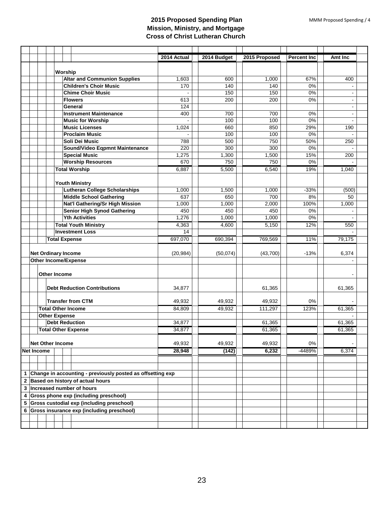|   |                                                                                                  |                                               |                            |                                                | 2014 Actual | 2014 Budget  | 2015 Proposed | <b>Percent Inc.</b> | Amt Inc        |  |
|---|--------------------------------------------------------------------------------------------------|-----------------------------------------------|----------------------------|------------------------------------------------|-------------|--------------|---------------|---------------------|----------------|--|
|   |                                                                                                  |                                               |                            |                                                |             |              |               |                     |                |  |
|   |                                                                                                  | Worship                                       |                            |                                                |             |              |               |                     |                |  |
|   |                                                                                                  |                                               |                            | <b>Altar and Communion Supplies</b>            | 1,603       | 600          | 1,000         | 67%                 | 400            |  |
|   |                                                                                                  |                                               |                            | <b>Children's Choir Music</b>                  | 170         | 140          | 140           | 0%                  |                |  |
|   |                                                                                                  |                                               |                            | <b>Chime Choir Music</b>                       |             | 150          | 150           | 0%                  |                |  |
|   |                                                                                                  |                                               |                            | <b>Flowers</b>                                 | 613         | 200          | 200           | 0%                  | $\blacksquare$ |  |
|   |                                                                                                  |                                               |                            | General                                        | 124         |              |               |                     | $\blacksquare$ |  |
|   |                                                                                                  |                                               |                            | <b>Instrument Maintenance</b>                  | 400         | 700          | 700           | 0%                  |                |  |
|   |                                                                                                  |                                               |                            | <b>Music for Worship</b>                       |             | 100          | 100           | 0%                  |                |  |
|   |                                                                                                  |                                               |                            | <b>Music Licenses</b><br><b>Proclaim Music</b> | 1,024       | 660          | 850           | 29%                 | 190            |  |
|   |                                                                                                  |                                               |                            | Soli Dei Music                                 | 788         | 100<br>500   | 100<br>750    | 0%<br>50%           | 250            |  |
|   |                                                                                                  |                                               |                            | Sound/Video Eqpmnt Maintenance                 | 220         | 300          | 300           | 0%                  |                |  |
|   |                                                                                                  |                                               |                            | <b>Special Music</b>                           | 1,275       |              |               | 15%                 | 200            |  |
|   |                                                                                                  |                                               |                            | <b>Worship Resources</b>                       | 670         | 1,300<br>750 | 1,500<br>750  | 0%                  |                |  |
|   |                                                                                                  |                                               |                            |                                                |             |              |               | 19%                 | 1,040          |  |
|   |                                                                                                  |                                               |                            | <b>Total Worship</b>                           | 6,887       | 5,500        | 6,540         |                     |                |  |
|   |                                                                                                  |                                               |                            | <b>Youth Ministry</b>                          |             |              |               |                     |                |  |
|   |                                                                                                  |                                               |                            | <b>Lutheran College Scholarships</b>           | 1,000       | 1,500        | 1,000         | $-33%$              | (500)          |  |
|   |                                                                                                  |                                               |                            | <b>Middle School Gathering</b>                 | 637         | 650          | 700           | 8%                  | 50             |  |
|   |                                                                                                  |                                               |                            | Nat'l Gathering/Sr High Mission                | 1,000       | 1,000        | 2,000         | 100%                | 1,000          |  |
|   |                                                                                                  |                                               |                            | <b>Senior High Synod Gathering</b>             | 450         | 450          | 450           | 0%                  |                |  |
|   |                                                                                                  |                                               |                            | <b>Yth Activities</b>                          | 1,276       | 1,000        | 1,000         | $0\%$               |                |  |
|   |                                                                                                  |                                               |                            | <b>Total Youth Ministry</b>                    | 4,363       | 4,600        | 5,150         | 12%                 | 550            |  |
|   |                                                                                                  |                                               |                            | <b>Investment Loss</b>                         | 14          |              |               |                     |                |  |
|   |                                                                                                  |                                               |                            |                                                | 697,070     | 690,394      | 769,569       | 11%                 | 79,175         |  |
|   |                                                                                                  | <b>Total Expense</b>                          |                            |                                                |             |              |               |                     |                |  |
|   |                                                                                                  | <b>Net Ordinary Income</b>                    |                            | (20, 984)                                      | (50,074)    | (43,700)     | $-13%$        | 6,374               |                |  |
|   |                                                                                                  | <b>Other Income/Expense</b>                   |                            |                                                |             |              |               |                     |                |  |
|   |                                                                                                  |                                               |                            |                                                |             |              |               |                     |                |  |
|   |                                                                                                  | Other Income                                  |                            |                                                |             |              |               |                     |                |  |
|   |                                                                                                  |                                               |                            |                                                |             |              |               |                     |                |  |
|   |                                                                                                  |                                               |                            | <b>Debt Reduction Contributions</b>            | 34,877      |              | 61,365        |                     | 61,365         |  |
|   |                                                                                                  |                                               |                            |                                                |             |              |               |                     |                |  |
|   |                                                                                                  |                                               |                            | <b>Transfer from CTM</b>                       | 49,932      | 49,932       | 49,932        | 0%                  |                |  |
|   |                                                                                                  | <b>Total Other Income</b>                     |                            | 84,809                                         | 49,932      | 111,297      | 123%          | 61,365              |                |  |
|   |                                                                                                  | <b>Other Expense</b><br><b>Debt Reduction</b> |                            | 34,877                                         |             | 61,365       |               | 61,365              |                |  |
|   |                                                                                                  |                                               |                            |                                                | 34,877      |              | 61,365        |                     | 61,365         |  |
|   |                                                                                                  |                                               | <b>Total Other Expense</b> |                                                |             |              |               |                     |                |  |
|   |                                                                                                  |                                               | <b>Net Other Income</b>    |                                                | 49,932      | 49,932       | 49,932        | 0%                  |                |  |
|   |                                                                                                  | <b>Net Income</b>                             |                            |                                                | 28,948      | (142)        | 6,232         | -4489%              | 6,374          |  |
|   |                                                                                                  |                                               |                            |                                                |             |              |               |                     |                |  |
|   |                                                                                                  |                                               |                            |                                                |             |              |               |                     |                |  |
|   |                                                                                                  |                                               |                            |                                                |             |              |               |                     |                |  |
| 1 | Change in accounting - previously posted as offsetting exp<br>2 Based on history of actual hours |                                               |                            |                                                |             |              |               |                     |                |  |
|   |                                                                                                  |                                               |                            |                                                |             |              |               |                     |                |  |
|   |                                                                                                  |                                               |                            | 3 Increased number of hours                    |             |              |               |                     |                |  |
|   | 4 Gross phone exp (including preschool)                                                          |                                               |                            |                                                |             |              |               |                     |                |  |
|   | 5 Gross custodial exp (including preschool)                                                      |                                               |                            |                                                |             |              |               |                     |                |  |
|   | 6 Gross insurance exp (including preschool)                                                      |                                               |                            |                                                |             |              |               |                     |                |  |
|   |                                                                                                  |                                               |                            |                                                |             |              |               |                     |                |  |
|   |                                                                                                  |                                               |                            |                                                |             |              |               |                     |                |  |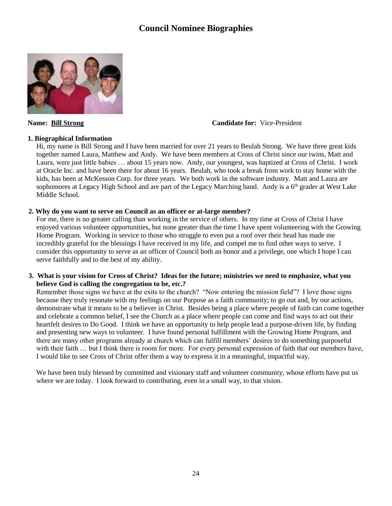# **Council Nominee Biographies**



**Name: Bill Strong Candidate for:** Vice-President

#### **1. Biographical Information**

Hi, my name is Bill Strong and I have been married for over 21 years to Beulah Strong. We have three great kids together named Laura, Matthew and Andy. We have been members at Cross of Christ since our twins, Matt and Laura, were just little babies … about 15 years now. Andy, our youngest, was baptized at Cross of Christ. I work at Oracle Inc. and have been there for about 16 years. Beulah, who took a break from work to stay home with the kids, has been at McKesson Corp. for three years. We both work in the software industry. Matt and Laura are sophomores at Legacy High School and are part of the Legacy Marching band. Andy is a 6<sup>th</sup> grader at West Lake Middle School.

#### **2. Why do you want to serve on Council as an officer or at-large member?**

For me, there is no greater calling than working in the service of others. In my time at Cross of Christ I have enjoyed various volunteer opportunities, but none greater than the time I have spent volunteering with the Growing Home Program. Working in service to those who struggle to even put a roof over their head has made me incredibly grateful for the blessings I have received in my life, and compel me to find other ways to serve. I consider this opportunity to serve as an officer of Council both an honor and a privilege, one which I hope I can serve faithfully and to the best of my ability.

#### **3. What is your vision for Cross of Christ? Ideas for the future; ministries we need to emphasize, what you believe God is calling the congregation to be, etc.?**

Remember those signs we have at the exits to the church? "Now entering the mission field"? I love those signs because they truly resonate with my feelings on our Purpose as a faith community; to go out and, by our actions, demonstrate what it means to be a believer in Christ. Besides being a place where people of faith can come together and celebrate a common belief, I see the Church as a place where people can come and find ways to act out their heartfelt desires to Do Good. I think we have an opportunity to help people lead a purpose-driven life, by finding and presenting new ways to volunteer. I have found personal fulfillment with the Growing Home Program, and there are many other programs already at church which can fulfill members' desires to do something purposeful with their faith … but I think there is room for more. For every personal expression of faith that our members have, I would like to see Cross of Christ offer them a way to express it in a meaningful, impactful way.

We have been truly blessed by committed and visionary staff and volunteer community, whose efforts have put us where we are today. I look forward to contributing, even in a small way, to that vision.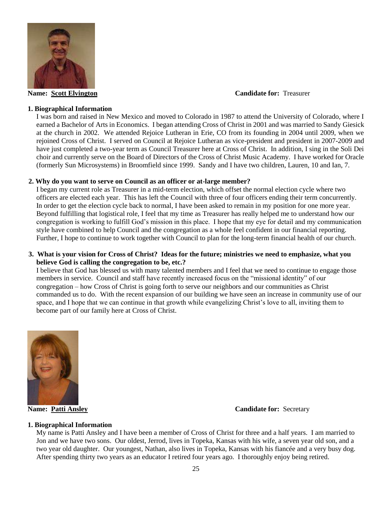

#### **Name: Scott Elvington Candidate for:** Treasurer

#### **1. Biographical Information**

I was born and raised in New Mexico and moved to Colorado in 1987 to attend the University of Colorado, where I earned a Bachelor of Arts in Economics. I began attending Cross of Christ in 2001 and was married to Sandy Giesick at the church in 2002. We attended Rejoice Lutheran in Erie, CO from its founding in 2004 until 2009, when we rejoined Cross of Christ. I served on Council at Rejoice Lutheran as vice-president and president in 2007-2009 and have just completed a two-year term as Council Treasurer here at Cross of Christ. In addition, I sing in the Soli Dei choir and currently serve on the Board of Directors of the Cross of Christ Music Academy. I have worked for Oracle (formerly Sun Microsystems) in Broomfield since 1999. Sandy and I have two children, Lauren, 10 and Ian, 7.

#### **2. Why do you want to serve on Council as an officer or at-large member?**

I began my current role as Treasurer in a mid-term election, which offset the normal election cycle where two officers are elected each year. This has left the Council with three of four officers ending their term concurrently. In order to get the election cycle back to normal, I have been asked to remain in my position for one more year. Beyond fulfilling that logistical role, I feel that my time as Treasurer has really helped me to understand how our congregation is working to fulfill God's mission in this place. I hope that my eye for detail and my communication style have combined to help Council and the congregation as a whole feel confident in our financial reporting. Further, I hope to continue to work together with Council to plan for the long-term financial health of our church.

#### **3. What is your vision for Cross of Christ? Ideas for the future; ministries we need to emphasize, what you believe God is calling the congregation to be, etc.?**

I believe that God has blessed us with many talented members and I feel that we need to continue to engage those members in service. Council and staff have recently increased focus on the "missional identity" of our congregation – how Cross of Christ is going forth to serve our neighbors and our communities as Christ commanded us to do. With the recent expansion of our building we have seen an increase in community use of our space, and I hope that we can continue in that growth while evangelizing Christ's love to all, inviting them to become part of our family here at Cross of Christ.



#### **Name: Patti Ansley Candidate for:** Secretary

#### **1. Biographical Information**

My name is Patti Ansley and I have been a member of Cross of Christ for three and a half years. I am married to Jon and we have two sons. Our oldest, Jerrod, lives in Topeka, Kansas with his wife, a seven year old son, and a two year old daughter. Our youngest, Nathan, also lives in Topeka, Kansas with his fiancée and a very busy dog. After spending thirty two years as an educator I retired four years ago. I thoroughly enjoy being retired.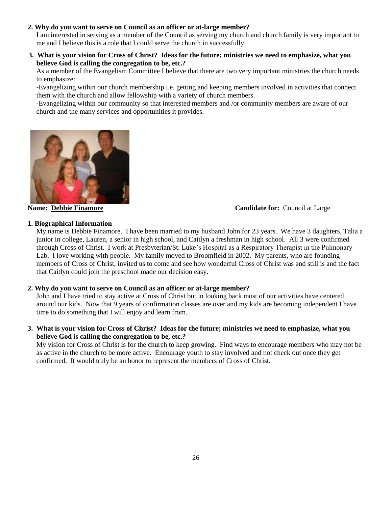#### **2. Why do you want to serve on Council as an officer or at-large member?**

I am interested in serving as a member of the Council as serving my church and church family is very important to me and I believe this is a role that I could serve the church in successfully.

 **3. What is your vision for Cross of Christ? Ideas for the future; ministries we need to emphasize, what you believe God is calling the congregation to be, etc.?** 

As a member of the Evangelism Committee I believe that there are two very important ministries the church needs to emphasize:

-Evangelizing within our church membership i.e. getting and keeping members involved in activities that connect them with the church and allow fellowship with a variety of church members.

-Evangelizing within our community so that interested members and /or community members are aware of our church and the many services and opportunities it provides.



#### **Name: Debbie Finamore Candidate for:** Council at Large

#### **1. Biographical Information**

My name is Debbie Finamore. I have been married to my husband John for 23 years. We have 3 daughters, Talia a junior in college, Lauren, a senior in high school, and Caitlyn a freshman in high school. All 3 were confirmed through Cross of Christ. I work at Presbyterian/St. Luke's Hospital as a Respiratory Therapist in the Pulmonary Lab. I love working with people. My family moved to Broomfield in 2002. My parents, who are founding members of Cross of Christ, invited us to come and see how wonderful Cross of Christ was and still is and the fact that Caitlyn could join the preschool made our decision easy.

#### **2. Why do you want to serve on Council as an officer or at-large member?**

John and I have tried to stay active at Cross of Christ but in looking back most of our activities have centered around our kids. Now that 9 years of confirmation classes are over and my kids are becoming independent I have time to do something that I will enjoy and learn from.

**3. What is your vision for Cross of Christ? Ideas for the future; ministries we need to emphasize, what you believe God is calling the congregation to be, etc.?** 

My vision for Cross of Christ is for the church to keep growing. Find ways to encourage members who may not be as active in the church to be more active. Encourage youth to stay involved and not check out once they get confirmed. It would truly be an honor to represent the members of Cross of Christ.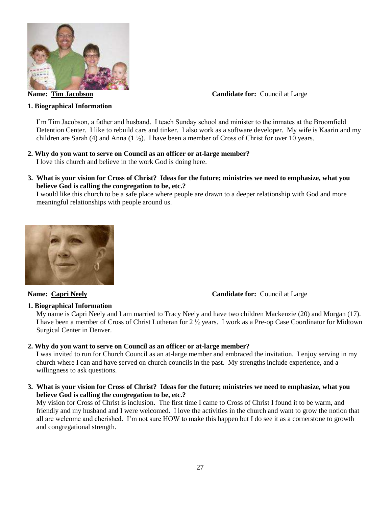

**Name: Tim Jacobson Candidate for: Council at Large** 

#### **1. Biographical Information**

I'm Tim Jacobson, a father and husband. I teach Sunday school and minister to the inmates at the Broomfield Detention Center. I like to rebuild cars and tinker. I also work as a software developer. My wife is Kaarin and my children are Sarah (4) and Anna (1 $\frac{1}{2}$ ). I have been a member of Cross of Christ for over 10 years.

#### **2. Why do you want to serve on Council as an officer or at-large member?**

I love this church and believe in the work God is doing here.

**3. What is your vision for Cross of Christ? Ideas for the future; ministries we need to emphasize, what you believe God is calling the congregation to be, etc.?** 

I would like this church to be a safe place where people are drawn to a deeper relationship with God and more meaningful relationships with people around us.



**Name: Capri Neely Candidate for: Council at Large** 

#### **1. Biographical Information**

My name is Capri Neely and I am married to Tracy Neely and have two children Mackenzie (20) and Morgan (17). I have been a member of Cross of Christ Lutheran for 2 ½ years. I work as a Pre-op Case Coordinator for Midtown Surgical Center in Denver.

#### **2. Why do you want to serve on Council as an officer or at-large member?**

I was invited to run for Church Council as an at-large member and embraced the invitation. I enjoy serving in my church where I can and have served on church councils in the past. My strengths include experience, and a willingness to ask questions.

**3. What is your vision for Cross of Christ? Ideas for the future; ministries we need to emphasize, what you believe God is calling the congregation to be, etc.?**

My vision for Cross of Christ is inclusion. The first time I came to Cross of Christ I found it to be warm, and friendly and my husband and I were welcomed. I love the activities in the church and want to grow the notion that all are welcome and cherished. I'm not sure HOW to make this happen but I do see it as a cornerstone to growth and congregational strength.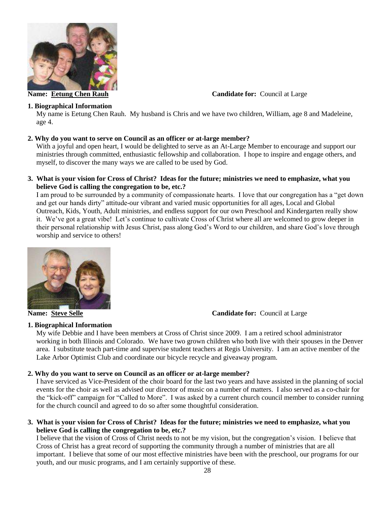

#### **1. Biographical Information**

**Name: Eetung Chen Rauh Candidate for: Council at Large** 

My name is Eetung Chen Rauh. My husband is Chris and we have two children, William, age 8 and Madeleine, age 4.

#### **2. Why do you want to serve on Council as an officer or at-large member?**

With a joyful and open heart, I would be delighted to serve as an At-Large Member to encourage and support our ministries through committed, enthusiastic fellowship and collaboration. I hope to inspire and engage others, and myself, to discover the many ways we are called to be used by God.

#### **3. What is your vision for Cross of Christ? Ideas for the future; ministries we need to emphasize, what you believe God is calling the congregation to be, etc.?**

I am proud to be surrounded by a community of compassionate hearts. I love that our congregation has a "get down and get our hands dirty" attitude-our vibrant and varied music opportunities for all ages, Local and Global Outreach, Kids, Youth, Adult ministries, and endless support for our own Preschool and Kindergarten really show it. We've got a great vibe! Let's continue to cultivate Cross of Christ where all are welcomed to grow deeper in their personal relationship with Jesus Christ, pass along God's Word to our children, and share God's love through worship and service to others!



**Name: Steve Selle Candidate for: Council at Large** 

#### **1. Biographical Information**

My wife Debbie and I have been members at Cross of Christ since 2009. I am a retired school administrator working in both Illinois and Colorado. We have two grown children who both live with their spouses in the Denver area. I substitute teach part-time and supervise student teachers at Regis University. I am an active member of the Lake Arbor Optimist Club and coordinate our bicycle recycle and giveaway program.

#### **2. Why do you want to serve on Council as an officer or at-large member?**

I have serviced as Vice-President of the choir board for the last two years and have assisted in the planning of social events for the choir as well as advised our director of music on a number of matters. I also served as a co-chair for the "kick-off" campaign for "Called to More". I was asked by a current church council member to consider running for the church council and agreed to do so after some thoughtful consideration.

**3. What is your vision for Cross of Christ? Ideas for the future; ministries we need to emphasize, what you believe God is calling the congregation to be, etc.?** 

I believe that the vision of Cross of Christ needs to not be my vision, but the congregation's vision. I believe that Cross of Christ has a great record of supporting the community through a number of ministries that are all important. I believe that some of our most effective ministries have been with the preschool, our programs for our youth, and our music programs, and I am certainly supportive of these.